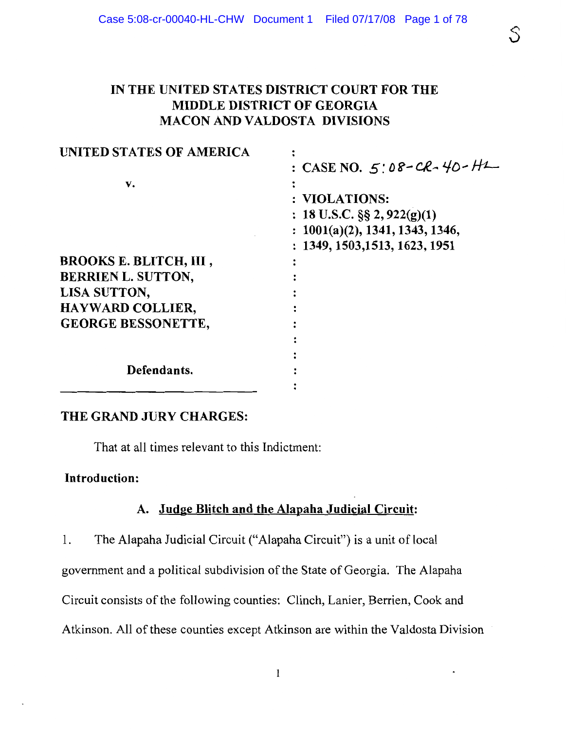# IN THE UNITED STATES DISTRICT COURT FOR THE MIDDLE DISTRICT OF GEORGIA **MACON AND VALDOSTA DIVISIONS**

| UNITED STATES OF AMERICA      |                                 |
|-------------------------------|---------------------------------|
|                               | : CASE NO. 5:08-CR-40-HL        |
| v.                            |                                 |
|                               | : VIOLATIONS:                   |
|                               | : 18 U.S.C. $\S$ § 2, 922(g)(1) |
|                               | : 1001(a)(2), 1341, 1343, 1346, |
|                               | : 1349, 1503, 1513, 1623, 1951  |
| <b>BROOKS E. BLITCH, III,</b> |                                 |
| <b>BERRIEN L. SUTTON,</b>     |                                 |
| LISA SUTTON,                  |                                 |
| <b>HAYWARD COLLIER,</b>       |                                 |
| <b>GEORGE BESSONETTE,</b>     |                                 |
|                               |                                 |
|                               |                                 |
| Defendants.                   |                                 |
|                               |                                 |

# THE GRAND JURY CHARGES:

That at all times relevant to this Indictment:

# **Introduction:**

# A. Judge Blitch and the Alapaha Judicial Circuit:

The Alapaha Judicial Circuit ("Alapaha Circuit") is a unit of local 1.

government and a political subdivision of the State of Georgia. The Alapaha

Circuit consists of the following counties: Clinch, Lanier, Berrien, Cook and

Atkinson. All of these counties except Atkinson are within the Valdosta Division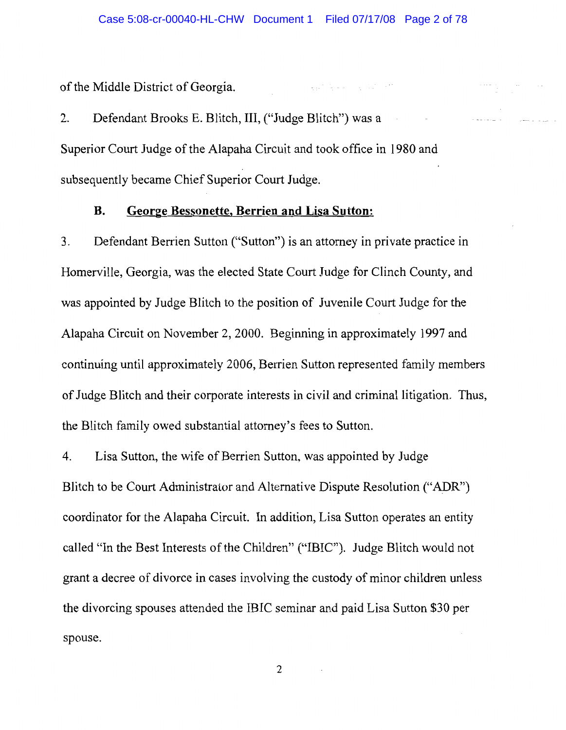$\mathcal{L}^{\mathcal{L}}(\mathcal{L}^{\mathcal{L}}(\mathcal{L}^{\mathcal{L}}(\mathcal{L}^{\mathcal{L}}(\mathcal{L}^{\mathcal{L}}(\mathcal{L}^{\mathcal{L}}(\mathcal{L}^{\mathcal{L}}(\mathcal{L}^{\mathcal{L}}(\mathcal{L}^{\mathcal{L}}(\mathcal{L}^{\mathcal{L}}(\mathcal{L}^{\mathcal{L}}(\mathcal{L}^{\mathcal{L}}(\mathcal{L}^{\mathcal{L}}(\mathcal{L}^{\mathcal{L}}(\mathcal{L}^{\mathcal{L}}(\mathcal{L}^{\mathcal{L}}(\mathcal{L}^{\mathcal{L$ 

of the Middle District of Georgia.

Defendant Brooks E. Blitch, III, ("Judge Blitch") was a 2. Superior Court Judge of the Alapaha Circuit and took office in 1980 and subsequently became Chief Superior Court Judge.

#### George Bessonette, Berrien and Lisa Sutton: **B.**

Defendant Berrien Sutton ("Sutton") is an attorney in private practice in  $\overline{3}$ . Homerville, Georgia, was the elected State Court Judge for Clinch County, and was appointed by Judge Blitch to the position of Juvenile Court Judge for the Alapaha Circuit on November 2, 2000. Beginning in approximately 1997 and continuing until approximately 2006, Berrien Sutton represented family members of Judge Blitch and their corporate interests in civil and criminal litigation. Thus, the Blitch family owed substantial attorney's fees to Sutton.

Lisa Sutton, the wife of Berrien Sutton, was appointed by Judge  $\overline{4}$ . Blitch to be Court Administrator and Alternative Dispute Resolution ("ADR") coordinator for the Alapaha Circuit. In addition, Lisa Sutton operates an entity called "In the Best Interests of the Children" ("IBIC"). Judge Blitch would not grant a decree of divorce in cases involving the custody of minor children unless the divorcing spouses attended the IBIC seminar and paid Lisa Sutton \$30 per spouse.

 $\overline{2}$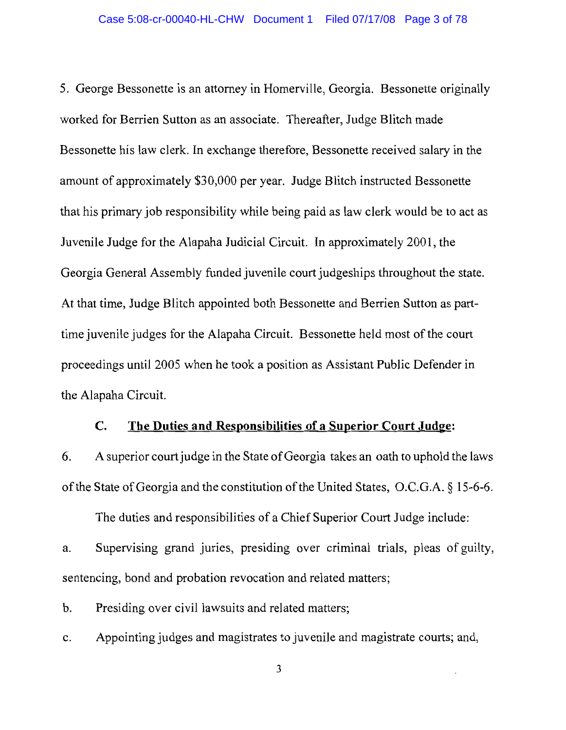5. George Bessonette is an attorney in Homerville, Georgia. Bessonette originally worked for Berrien Sutton as an associate. Thereafter, Judge Blitch made Bessonette his law clerk. In exchange therefore, Bessonette received salary in the amount of approximately \$30,000 per year. Judge Blitch instructed Bessonette that his primary job responsibility while being paid as law clerk would be to act as Juvenile Judge for the Alapaha Judicial Circuit. In approximately 2001, the Georgia General Assembly funded juvenile court judgeships throughout the state. At that time, Judge Blitch appointed both Bessonette and Berrien Sutton as parttime juvenile judges for the Alapaha Circuit. Bessonette held most of the court proceedings until 2005 when he took a position as Assistant Public Defender in the Alapaha Circuit.

#### The Duties and Responsibilities of a Superior Court Judge:  $\mathbf{C}$ .

A superior court judge in the State of Georgia takes an oath to uphold the laws 6. of the State of Georgia and the constitution of the United States, O.C.G.A. § 15-6-6.

The duties and responsibilities of a Chief Superior Court Judge include:

Supervising grand juries, presiding over criminal trials, pleas of guilty, a. sentencing, bond and probation revocation and related matters;

Presiding over civil lawsuits and related matters; b.

Appointing judges and magistrates to juvenile and magistrate courts; and, c.

 $\mathfrak{Z}$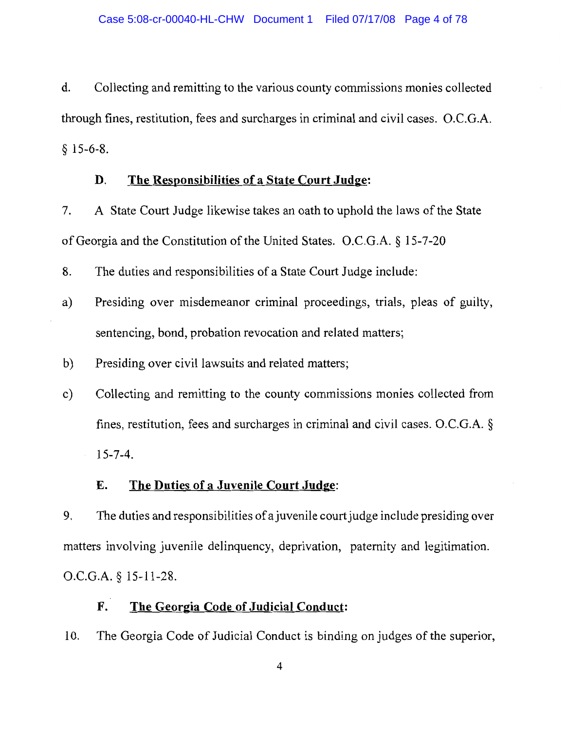d. Collecting and remitting to the various county commissions monies collected through fines, restitution, fees and surcharges in criminal and civil cases. O.C.G.A.  $$15-6-8.$ 

#### The Responsibilities of a State Court Judge: D.

A State Court Judge likewise takes an oath to uphold the laws of the State 7. of Georgia and the Constitution of the United States. O.C.G.A. § 15-7-20

8. The duties and responsibilities of a State Court Judge include:

- Presiding over misdemeanor criminal proceedings, trials, pleas of guilty, a) sentencing, bond, probation revocation and related matters;
- $b)$ Presiding over civil lawsuits and related matters;
- Collecting and remitting to the county commissions monies collected from  $c)$ fines, restitution, fees and surcharges in criminal and civil cases. O.C.G.A.  $\S$  $15 - 7 - 4$ .

#### Ε. The Duties of a Juvenile Court Judge:

9. The duties and responsibilities of a juvenile court judge include presiding over matters involving juvenile delinquency, deprivation, paternity and legitimation. O.C.G.A. § 15-11-28.

#### The Georgia Code of Judicial Conduct: F.

10. The Georgia Code of Judicial Conduct is binding on judges of the superior,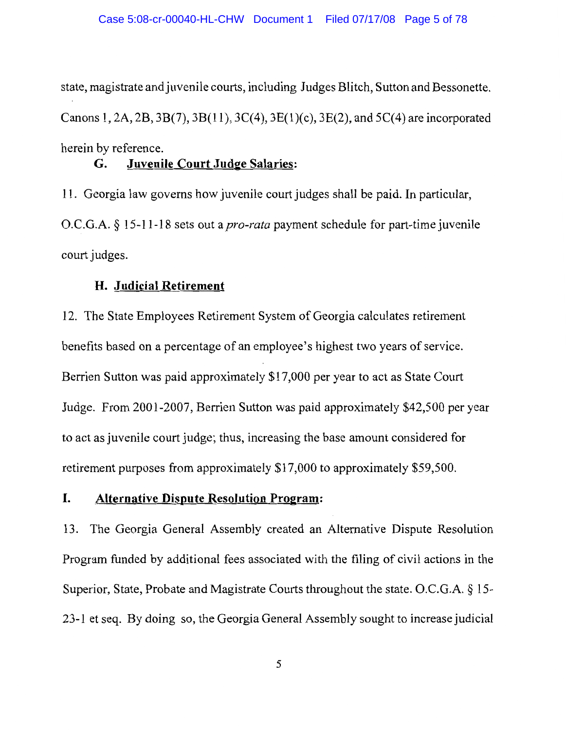state, magistrate and juvenile courts, including Judges Blitch, Sutton and Bessonette. Canons 1, 2A, 2B, 3B(7), 3B(11), 3C(4), 3E(1)(c), 3E(2), and 5C(4) are incorporated herein by reference.

#### **Juvenile Court Judge Salaries:** G.

11. Georgia law governs how juvenile court judges shall be paid. In particular, O.C.G.A. § 15-11-18 sets out a *pro-rata* payment schedule for part-time juvenile court judges.

# H. Judicial Retirement

12. The State Employees Retirement System of Georgia calculates retirement benefits based on a percentage of an employee's highest two years of service. Berrien Sutton was paid approximately \$17,000 per year to act as State Court Judge. From 2001-2007, Berrien Sutton was paid approximately \$42,500 per year to act as juvenile court judge; thus, increasing the base amount considered for retirement purposes from approximately \$17,000 to approximately \$59,500.

#### I. **Alternative Dispute Resolution Program:**

13. The Georgia General Assembly created an Alternative Dispute Resolution Program funded by additional fees associated with the filing of civil actions in the Superior, State, Probate and Magistrate Courts throughout the state. O.C.G.A. § 15-23-1 et seq. By doing so, the Georgia General Assembly sought to increase judicial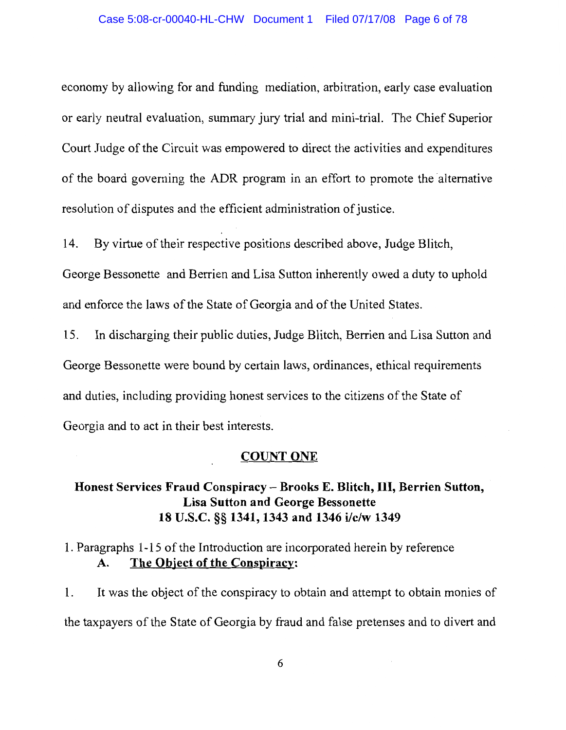economy by allowing for and funding mediation, arbitration, early case evaluation or early neutral evaluation, summary jury trial and mini-trial. The Chief Superior Court Judge of the Circuit was empowered to direct the activities and expenditures of the board governing the ADR program in an effort to promote the alternative resolution of disputes and the efficient administration of justice.

By virtue of their respective positions described above, Judge Blitch, 14.

George Bessonette and Berrien and Lisa Sutton inherently owed a duty to uphold and enforce the laws of the State of Georgia and of the United States.

15. In discharging their public duties, Judge Blitch, Berrien and Lisa Sutton and George Bessonette were bound by certain laws, ordinances, ethical requirements and duties, including providing honest services to the citizens of the State of Georgia and to act in their best interests.

### **COUNT ONE**

# Honest Services Fraud Conspiracy - Brooks E. Blitch, III, Berrien Sutton, **Lisa Sutton and George Bessonette** 18 U.S.C. §§ 1341, 1343 and 1346 i/c/w 1349

### 1. Paragraphs 1-15 of the Introduction are incorporated herein by reference The Object of the Conspiracy: A.

It was the object of the conspiracy to obtain and attempt to obtain monies of 1. the taxpayers of the State of Georgia by fraud and false pretenses and to divert and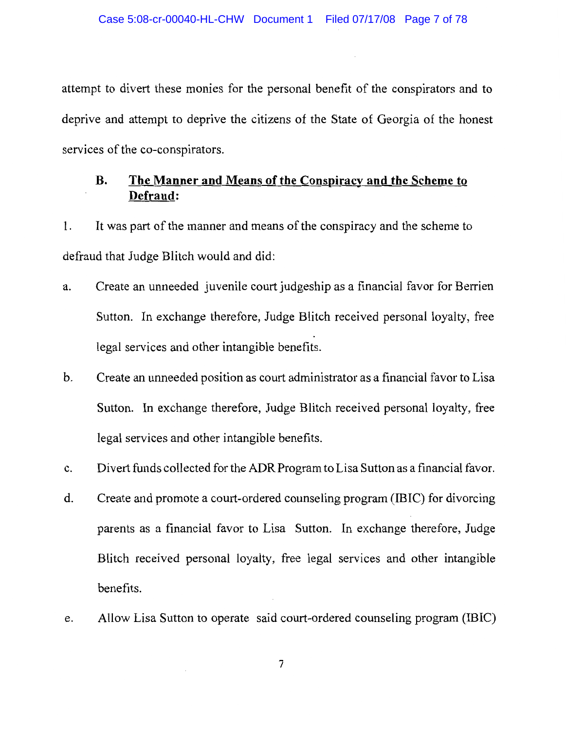attempt to divert these monies for the personal benefit of the conspirators and to deprive and attempt to deprive the citizens of the State of Georgia of the honest services of the co-conspirators.

### The Manner and Means of the Conspiracy and the Scheme to **B.** Defraud:

It was part of the manner and means of the conspiracy and the scheme to 1. defraud that Judge Blitch would and did:

- Create an unneeded juvenile court judgeship as a financial favor for Berrien a. Sutton. In exchange therefore, Judge Blitch received personal loyalty, free legal services and other intangible benefits.
- Create an unneeded position as court administrator as a financial favor to Lisa  $\mathbf b$ . Sutton. In exchange therefore, Judge Blitch received personal loyalty, free legal services and other intangible benefits.
- Divert funds collected for the ADR Program to Lisa Sutton as a financial favor. c.
- Create and promote a court-ordered counseling program (IBIC) for divorcing d. parents as a financial favor to Lisa Sutton. In exchange therefore, Judge Blitch received personal loyalty, free legal services and other intangible benefits.
- Allow Lisa Sutton to operate said court-ordered counseling program (IBIC) e.

 $\overline{7}$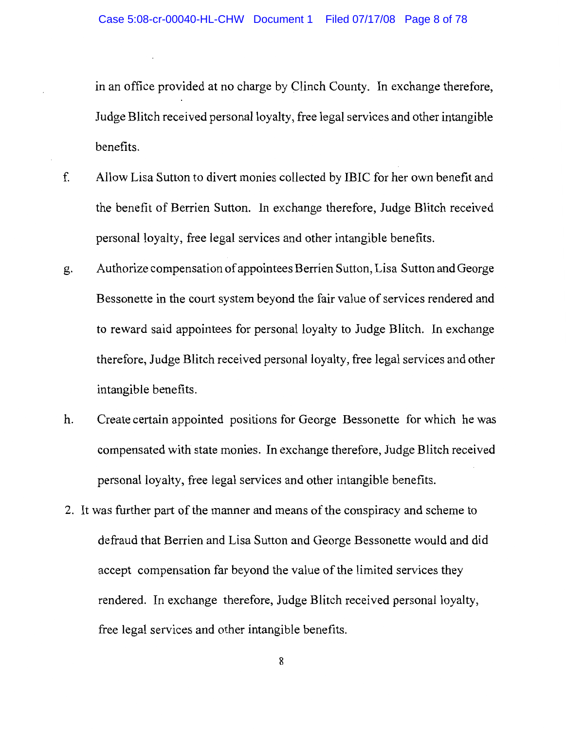in an office provided at no charge by Clinch County. In exchange therefore, Judge Blitch received personal loyalty, free legal services and other intangible benefits.

- Allow Lisa Sutton to divert monies collected by IBIC for her own benefit and f. the benefit of Berrien Sutton. In exchange therefore, Judge Blitch received personal loyalty, free legal services and other intangible benefits.
- Authorize compensation of appointees Berrien Sutton, Lisa Sutton and George g. Bessonette in the court system beyond the fair value of services rendered and to reward said appointees for personal loyalty to Judge Blitch. In exchange therefore, Judge Blitch received personal loyalty, free legal services and other intangible benefits.
- Create certain appointed positions for George Bessonette for which he was h. compensated with state monies. In exchange therefore, Judge Blitch received personal loyalty, free legal services and other intangible benefits.
- 2. It was further part of the manner and means of the conspiracy and scheme to defraud that Berrien and Lisa Sutton and George Bessonette would and did accept compensation far beyond the value of the limited services they rendered. In exchange therefore, Judge Blitch received personal loyalty, free legal services and other intangible benefits.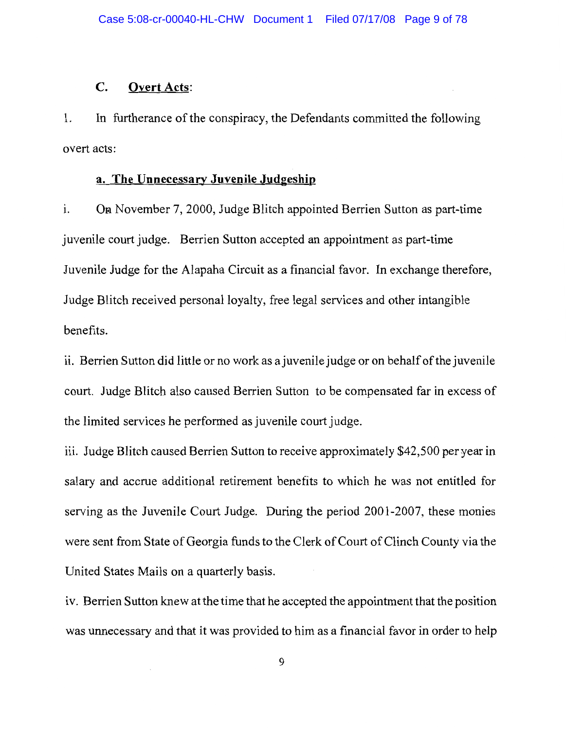#### $\mathbf{C}$ . **Overt Acts:**

In furtherance of the conspiracy, the Defendants committed the following 1. overt acts:

# a. The Unnecessary Juvenile Judgeship

i. On November 7, 2000, Judge Blitch appointed Berrien Sutton as part-time juvenile court judge. Berrien Sutton accepted an appointment as part-time Juvenile Judge for the Alapaha Circuit as a financial favor. In exchange therefore, Judge Blitch received personal loyalty, free legal services and other intangible benefits.

ii. Berrien Sutton did little or no work as a juvenile judge or on behalf of the juvenile court. Judge Blitch also caused Berrien Sutton to be compensated far in excess of the limited services he performed as juvenile court judge.

iii. Judge Blitch caused Berrien Sutton to receive approximately \$42,500 per year in salary and accrue additional retirement benefits to which he was not entitled for serving as the Juvenile Court Judge. During the period 2001-2007, these monies were sent from State of Georgia funds to the Clerk of Court of Clinch County via the United States Mails on a quarterly basis.

iv. Berrien Sutton knew at the time that he accepted the appointment that the position was unnecessary and that it was provided to him as a financial favor in order to help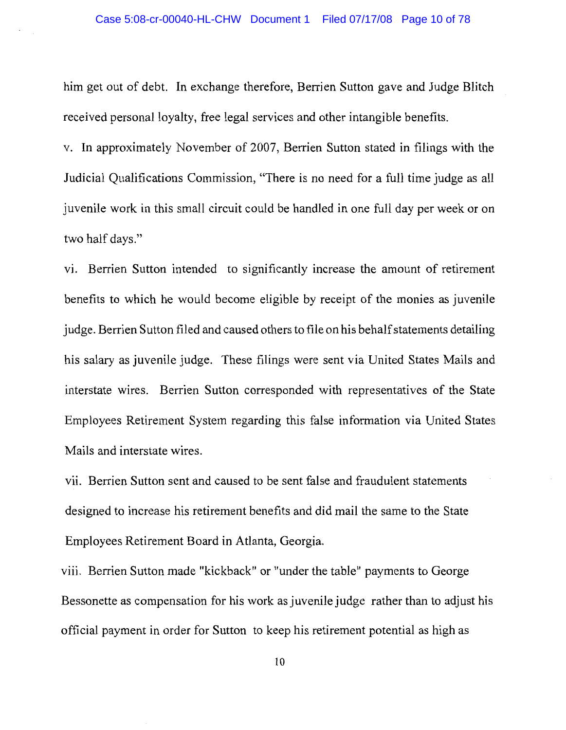him get out of debt. In exchange therefore, Berrien Sutton gave and Judge Blitch received personal loyalty, free legal services and other intangible benefits.

v. In approximately November of 2007, Berrien Sutton stated in filings with the Judicial Qualifications Commission, "There is no need for a full time judge as all juvenile work in this small circuit could be handled in one full day per week or on two half days."

vi. Berrien Sutton intended to significantly increase the amount of retirement benefits to which he would become eligible by receipt of the monies as juvenile judge. Berrien Sutton filed and caused others to file on his behalf statements detailing his salary as juvenile judge. These filings were sent via United States Mails and interstate wires. Berrien Sutton corresponded with representatives of the State Employees Retirement System regarding this false information via United States Mails and interstate wires.

vii. Berrien Sutton sent and caused to be sent false and fraudulent statements designed to increase his retirement benefits and did mail the same to the State Employees Retirement Board in Atlanta, Georgia.

viii. Berrien Sutton made "kickback" or "under the table" payments to George Bessonette as compensation for his work as juvenile judge rather than to adjust his official payment in order for Sutton to keep his retirement potential as high as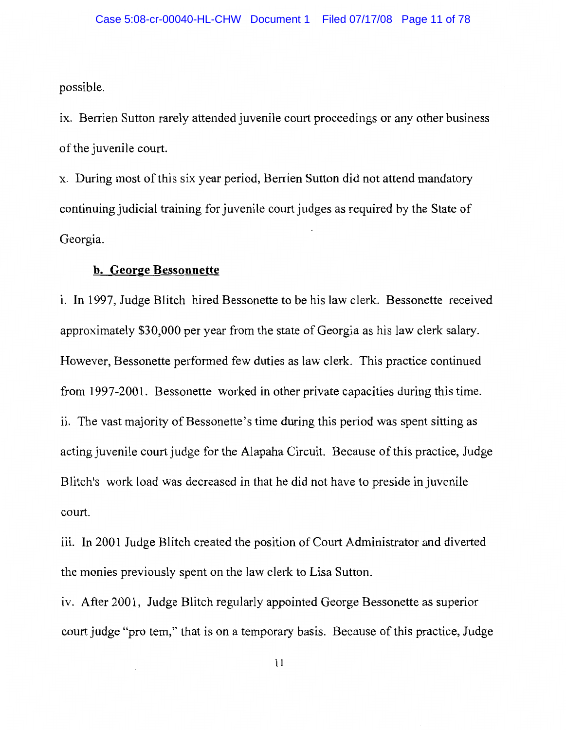possible.

ix. Berrien Sutton rarely attended juvenile court proceedings or any other business of the juvenile court.

x. During most of this six year period, Berrien Sutton did not attend mandatory continuing judicial training for juvenile court judges as required by the State of Georgia.

# b. George Bessonnette

i. In 1997, Judge Blitch hired Bessonette to be his law clerk. Bessonette received approximately \$30,000 per year from the state of Georgia as his law clerk salary. However, Bessonette performed few duties as law clerk. This practice continued from 1997-2001. Bessonette worked in other private capacities during this time. ii. The vast majority of Bessonette's time during this period was spent sitting as acting juvenile court judge for the Alapaha Circuit. Because of this practice, Judge Blitch's work load was decreased in that he did not have to preside in juvenile court.

iii. In 2001 Judge Blitch created the position of Court Administrator and diverted the monies previously spent on the law clerk to Lisa Sutton.

iv. After 2001, Judge Blitch regularly appointed George Bessonette as superior court judge "pro tem," that is on a temporary basis. Because of this practice, Judge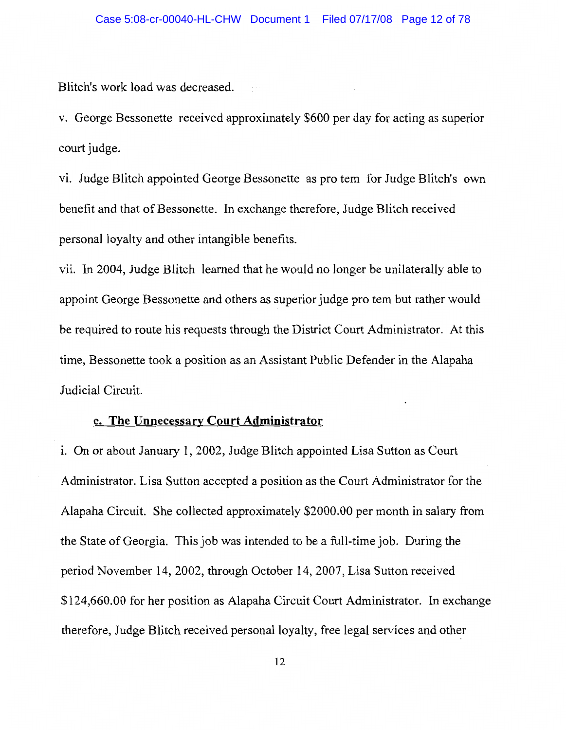Blitch's work load was decreased.

v. George Bessonette received approximately \$600 per day for acting as superior court judge.

vi. Judge Blitch appointed George Bessonette as pro tem for Judge Blitch's own benefit and that of Bessonette. In exchange therefore, Judge Blitch received personal loyalty and other intangible benefits.

vii. In 2004, Judge Blitch learned that he would no longer be unilaterally able to appoint George Bessonette and others as superior judge pro tem but rather would be required to route his requests through the District Court Administrator. At this time, Bessonette took a position as an Assistant Public Defender in the Alapaha Judicial Circuit.

### c. The Unnecessary Court Administrator

i. On or about January 1, 2002, Judge Blitch appointed Lisa Sutton as Court Administrator. Lisa Sutton accepted a position as the Court Administrator for the Alapaha Circuit. She collected approximately \$2000.00 per month in salary from the State of Georgia. This job was intended to be a full-time job. During the period November 14, 2002, through October 14, 2007, Lisa Sutton received \$124,660.00 for her position as Alapaha Circuit Court Administrator. In exchange therefore, Judge Blitch received personal loyalty, free legal services and other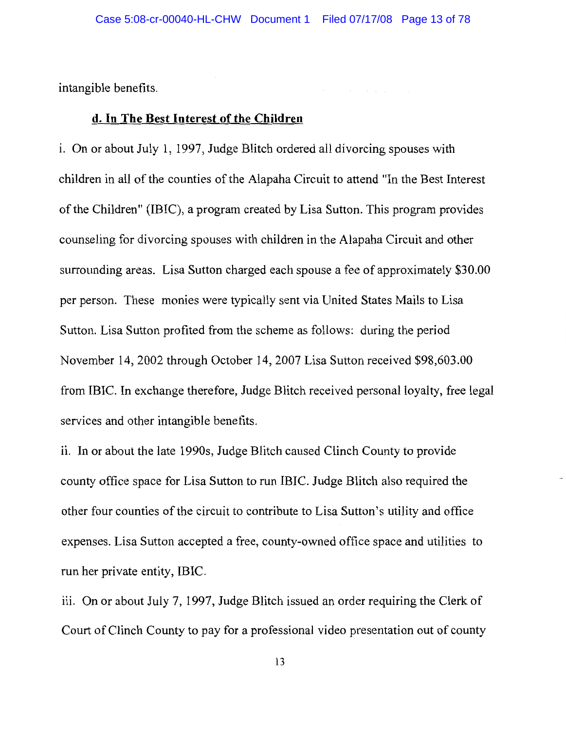intangible benefits.

# d. In The Best Interest of the Children

i. On or about July 1, 1997, Judge Blitch ordered all divorcing spouses with children in all of the counties of the Alapaha Circuit to attend "In the Best Interest of the Children" (IBIC), a program created by Lisa Sutton. This program provides counseling for divorcing spouses with children in the Alapaha Circuit and other surrounding areas. Lisa Sutton charged each spouse a fee of approximately \$30.00 per person. These monies were typically sent via United States Mails to Lisa Sutton. Lisa Sutton profited from the scheme as follows: during the period November 14, 2002 through October 14, 2007 Lisa Sutton received \$98,603.00 from IBIC. In exchange therefore, Judge Blitch received personal loyalty, free legal services and other intangible benefits.

ii. In or about the late 1990s, Judge Blitch caused Clinch County to provide county office space for Lisa Sutton to run IBIC. Judge Blitch also required the other four counties of the circuit to contribute to Lisa Sutton's utility and office expenses. Lisa Sutton accepted a free, county-owned office space and utilities to run her private entity, IBIC.

iii. On or about July 7, 1997, Judge Blitch issued an order requiring the Clerk of Court of Clinch County to pay for a professional video presentation out of county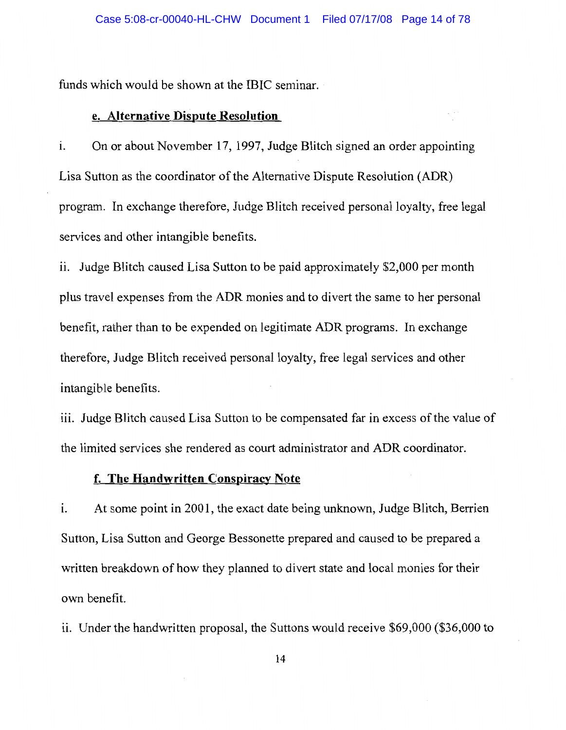funds which would be shown at the IBIC seminar.

### e. Alternative Dispute Resolution

On or about November 17, 1997, Judge Blitch signed an order appointing i. Lisa Sutton as the coordinator of the Alternative Dispute Resolution (ADR) program. In exchange therefore, Judge Blitch received personal loyalty, free legal services and other intangible benefits.

ii. Judge Blitch caused Lisa Sutton to be paid approximately \$2,000 per month plus travel expenses from the ADR monies and to divert the same to her personal benefit, rather than to be expended on legitimate ADR programs. In exchange therefore, Judge Blitch received personal loyalty, free legal services and other intangible benefits.

iii. Judge Blitch caused Lisa Sutton to be compensated far in excess of the value of the limited services she rendered as court administrator and ADR coordinator.

# f. The Handwritten Conspiracy Note

At some point in 2001, the exact date being unknown, Judge Blitch, Berrien  $\mathbf{i}$ . Sutton, Lisa Sutton and George Bessonette prepared and caused to be prepared a written breakdown of how they planned to divert state and local monies for their own benefit.

ii. Under the handwritten proposal, the Suttons would receive \$69,000 (\$36,000 to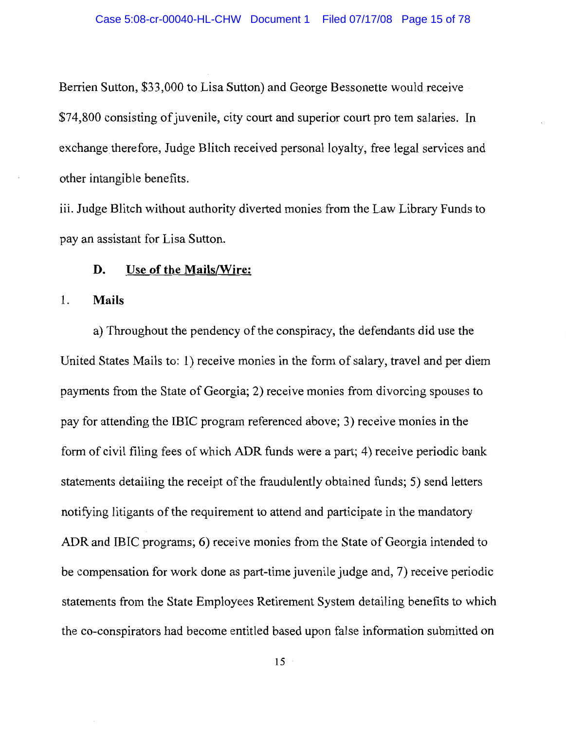Berrien Sutton, \$33,000 to Lisa Sutton) and George Bessonette would receive \$74,800 consisting of juvenile, city court and superior court pro tem salaries. In exchange therefore, Judge Blitch received personal loyalty, free legal services and other intangible benefits.

iii. Judge Blitch without authority diverted monies from the Law Library Funds to pay an assistant for Lisa Sutton.

#### D. Use of the Mails/Wire:

#### 1. **Mails**

a) Throughout the pendency of the conspiracy, the defendants did use the United States Mails to: 1) receive monies in the form of salary, travel and per diem payments from the State of Georgia; 2) receive monies from divorcing spouses to pay for attending the IBIC program referenced above; 3) receive monies in the form of civil filing fees of which ADR funds were a part; 4) receive periodic bank statements detailing the receipt of the fraudulently obtained funds; 5) send letters notifying litigants of the requirement to attend and participate in the mandatory ADR and IBIC programs; 6) receive monies from the State of Georgia intended to be compensation for work done as part-time juvenile judge and, 7) receive periodic statements from the State Employees Retirement System detailing benefits to which the co-conspirators had become entitled based upon false information submitted on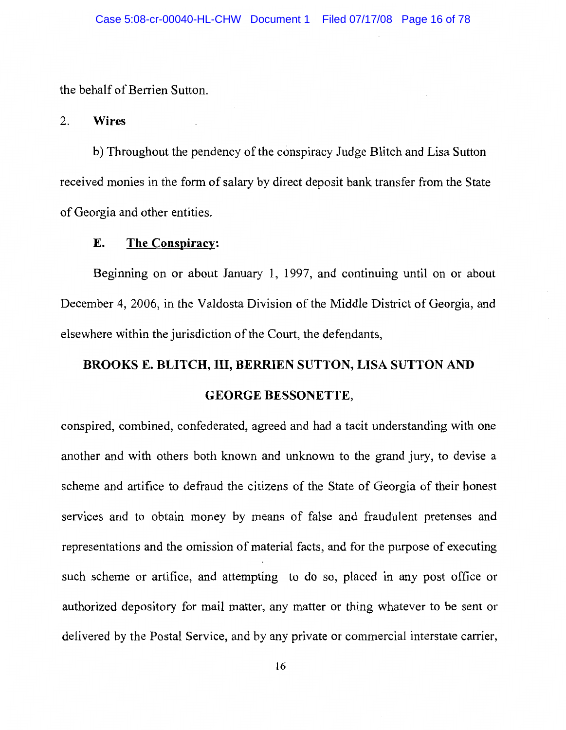the behalf of Berrien Sutton.

#### 2. **Wires**

b) Throughout the pendency of the conspiracy Judge Blitch and Lisa Sutton received monies in the form of salary by direct deposit bank transfer from the State of Georgia and other entities.

#### E. The Conspiracy:

Beginning on or about January 1, 1997, and continuing until on or about December 4, 2006, in the Valdosta Division of the Middle District of Georgia, and elsewhere within the jurisdiction of the Court, the defendants,

# **BROOKS E. BLITCH, III, BERRIEN SUTTON, LISA SUTTON AND**

# **GEORGE BESSONETTE,**

conspired, combined, confederated, agreed and had a tacit understanding with one another and with others both known and unknown to the grand jury, to devise a scheme and artifice to defraud the citizens of the State of Georgia of their honest services and to obtain money by means of false and fraudulent pretenses and representations and the omission of material facts, and for the purpose of executing such scheme or artifice, and attempting to do so, placed in any post office or authorized depository for mail matter, any matter or thing whatever to be sent or delivered by the Postal Service, and by any private or commercial interstate carrier,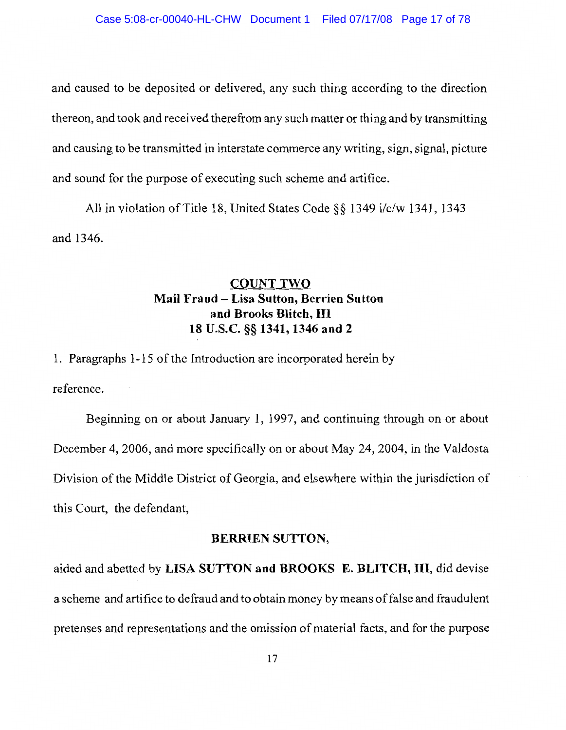and caused to be deposited or delivered, any such thing according to the direction thereon, and took and received therefrom any such matter or thing and by transmitting and causing to be transmitted in interstate commerce any writing, sign, signal, picture and sound for the purpose of executing such scheme and artifice.

All in violation of Title 18, United States Code §§ 1349 i/c/w 1341, 1343 and 1346.

# **COUNT TWO** Mail Fraud - Lisa Sutton, Berrien Sutton and Brooks Blitch, III 18 U.S.C. §§ 1341, 1346 and 2

1. Paragraphs 1-15 of the Introduction are incorporated herein by reference.

Beginning on or about January 1, 1997, and continuing through on or about December 4, 2006, and more specifically on or about May 24, 2004, in the Valdosta Division of the Middle District of Georgia, and elsewhere within the jurisdiction of this Court, the defendant,

### **BERRIEN SUTTON,**

aided and abetted by LISA SUTTON and BROOKS E. BLITCH, III, did devise a scheme and artifice to defraud and to obtain money by means of false and fraudulent pretenses and representations and the omission of material facts, and for the purpose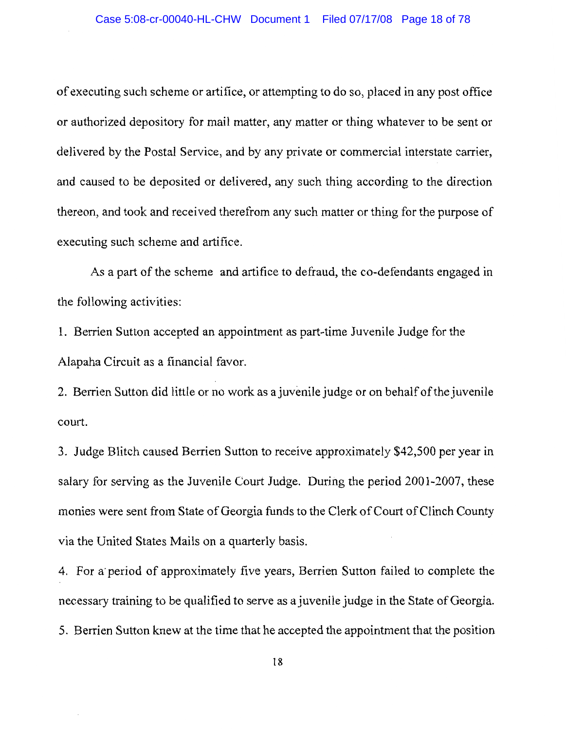of executing such scheme or artifice, or attempting to do so, placed in any post office or authorized depository for mail matter, any matter or thing whatever to be sent or delivered by the Postal Service, and by any private or commercial interstate carrier, and caused to be deposited or delivered, any such thing according to the direction thereon, and took and received therefrom any such matter or thing for the purpose of executing such scheme and artifice.

As a part of the scheme and artifice to defraud, the co-defendants engaged in the following activities:

1. Berrien Sutton accepted an appointment as part-time Juvenile Judge for the Alapaha Circuit as a financial favor.

2. Berrien Sutton did little or no work as a juvenile judge or on behalf of the juvenile court.

3. Judge Blitch caused Berrien Sutton to receive approximately \$42,500 per year in salary for serving as the Juvenile Court Judge. During the period 2001-2007, these monies were sent from State of Georgia funds to the Clerk of Court of Clinch County via the United States Mails on a quarterly basis.

4. For a period of approximately five years, Berrien Sutton failed to complete the necessary training to be qualified to serve as a juvenile judge in the State of Georgia. 5. Berrien Sutton knew at the time that he accepted the appointment that the position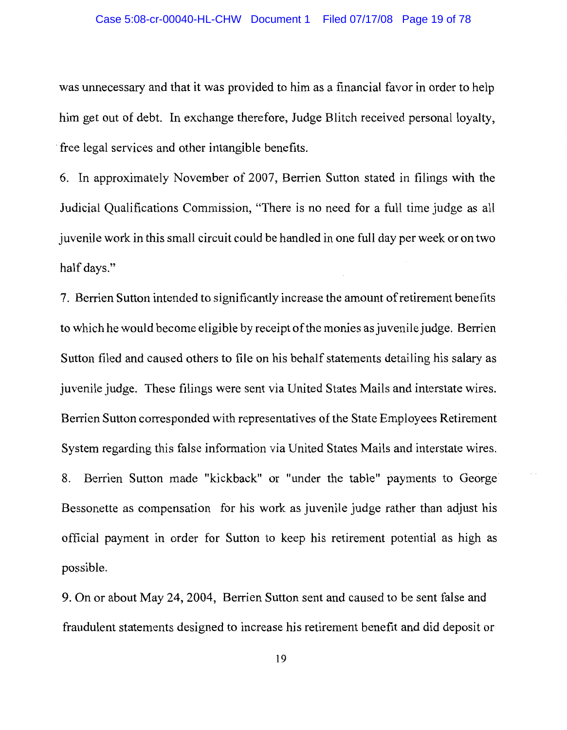was unnecessary and that it was provided to him as a financial favor in order to help him get out of debt. In exchange therefore, Judge Blitch received personal loyalty, free legal services and other intangible benefits.

6. In approximately November of 2007, Berrien Sutton stated in filings with the Judicial Qualifications Commission, "There is no need for a full time judge as all juven is work in this small circuit could be handled in one full day per week or on two half days."

7. Berrien Sutton intended to significantly increase the amount of retirement benefits to which he would become eligible by receipt of the monies as juvenile judge. Berrien Sutton filed and caused others to file on his behalf statements detailing his salary as juvenile judge. These filings were sent via United States Mails and interstate wires. Berrien Sutton corresponded with representatives of the State Employees Retirement System regarding this false information via United States Mails and interstate wires. 8. Berrien Sutton made "kickback" or "under the table" payments to George Bessonette as compensation for his work as juvenile judge rather than adjust his official payment in order for Sutton to keep his retirement potential as high as possible.

9. On or about May 24, 2004, Berrien Sutton sent and caused to be sent false and fraudulent statements designed to increase his retirement benefit and did deposit or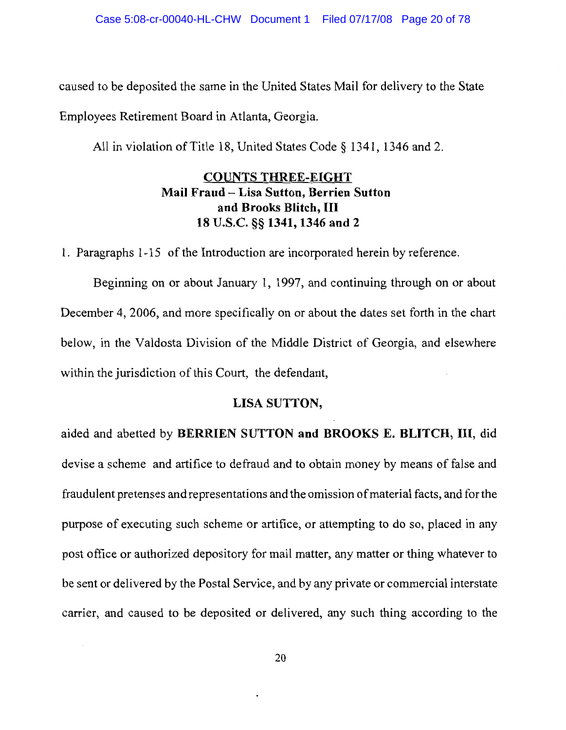caused to be deposited the same in the United States Mail for delivery to the State

Employees Retirement Board in Atlanta, Georgia.

All in violation of Title 18, United States Code § 1341, 1346 and 2.

# **COUNTS THREE-EIGHT** Mail Fraud - Lisa Sutton, Berrien Sutton and Brooks Blitch, III 18 U.S.C. §§ 1341, 1346 and 2

1. Paragraphs 1-15 of the Introduction are incorporated herein by reference.

Beginning on or about January 1, 1997, and continuing through on or about December 4, 2006, and more specifically on or about the dates set forth in the chart below, in the Valdosta Division of the Middle District of Georgia, and elsewhere within the jurisdiction of this Court, the defendant,

# LISA SUTTON,

aided and abetted by BERRIEN SUTTON and BROOKS E. BLITCH, III, did devise a scheme and artifice to defraud and to obtain money by means of false and fraudulent pretenses and representations and the omission of material facts, and for the purpose of executing such scheme or artifice, or attempting to do so, placed in any post office or authorized depository for mail matter, any matter or thing whatever to be sent or delivered by the Postal Service, and by any private or commercial interstate carrier, and caused to be deposited or delivered, any such thing according to the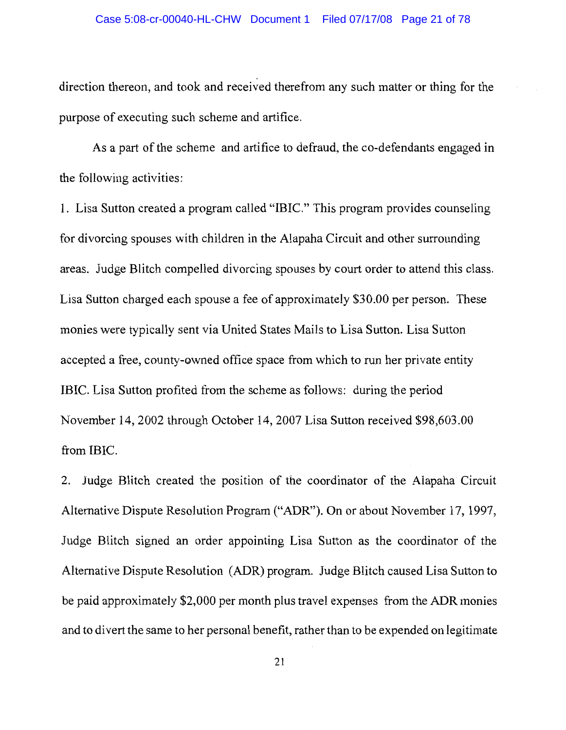### Case 5:08-cr-00040-HL-CHW Document 1 Filed 07/17/08 Page 21 of 78

direction thereon, and took and received therefrom any such matter or thing for the purpose of executing such scheme and artifice.

As a part of the scheme and artifice to defraud, the co-defendants engaged in the following activities:

1. Lisa Sutton created a program called "IBIC." This program provides counseling for divorcing spouses with children in the Alapaha Circuit and other surrounding areas. Judge Blitch compelled divorcing spouses by court order to attend this class. Lisa Sutton charged each spouse a fee of approximately \$30.00 per person. These monies were typically sent via United States Mails to Lisa Sutton. Lisa Sutton accepted a free, county-owned office space from which to run her private entity IBIC. Lisa Sutton profited from the scheme as follows: during the period November 14, 2002 through October 14, 2007 Lisa Sutton received \$98,603.00 from IBIC.

2. Judge Blitch created the position of the coordinator of the Alapaha Circuit Alternative Dispute Resolution Program ("ADR"). On or about November 17, 1997, Judge Blitch signed an order appointing Lisa Sutton as the coordinator of the Alternative Dispute Resolution (ADR) program. Judge Blitch caused Lisa Sutton to be paid approximately \$2,000 per month plus travel expenses from the ADR monies and to divert the same to her personal benefit, rather than to be expended on legitimate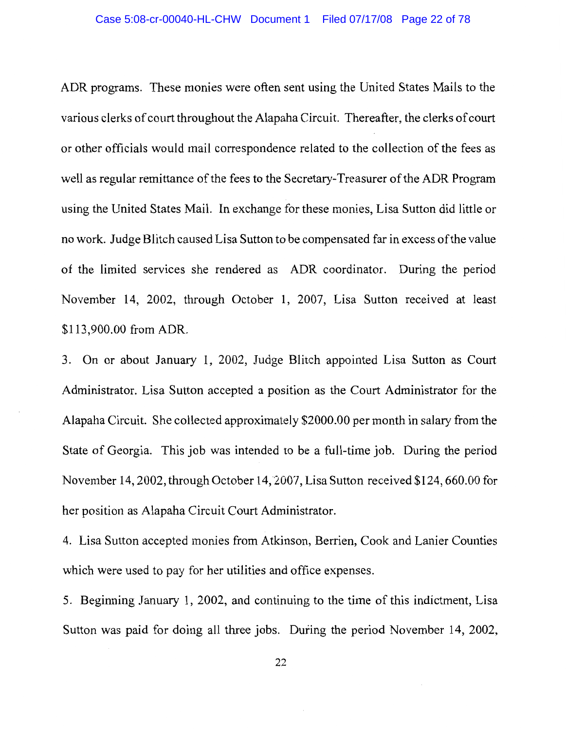ADR programs. These monies were often sent using the United States Mails to the various clerks of court throughout the Alapaha Circuit. Thereafter, the clerks of court or other officials would mail correspondence related to the collection of the fees as well as regular remittance of the fees to the Secretary-Treasurer of the ADR Program using the United States Mail. In exchange for these monies, Lisa Sutton did little or no work. Judge Blitch caused Lisa Sutton to be compensated far in excess of the value of the limited services she rendered as ADR coordinator. During the period November 14, 2002, through October 1, 2007, Lisa Sutton received at least \$113,900.00 from ADR.

3. On or about January 1, 2002, Judge Blitch appointed Lisa Sutton as Court Administrator. Lisa Sutton accepted a position as the Court Administrator for the Alapaha Circuit. She collected approximately \$2000.00 per month in salary from the State of Georgia. This job was intended to be a full-time job. During the period November 14, 2002, through October 14, 2007, Lisa Sutton received \$124, 660.00 for her position as Alapaha Circuit Court Administrator.

4. Lisa Sutton accepted monies from Atkinson, Berrien, Cook and Lanier Counties which were used to pay for her utilities and office expenses.

5. Beginning January 1, 2002, and continuing to the time of this indictment, Lisa Sutton was paid for doing all three jobs. During the period November 14, 2002,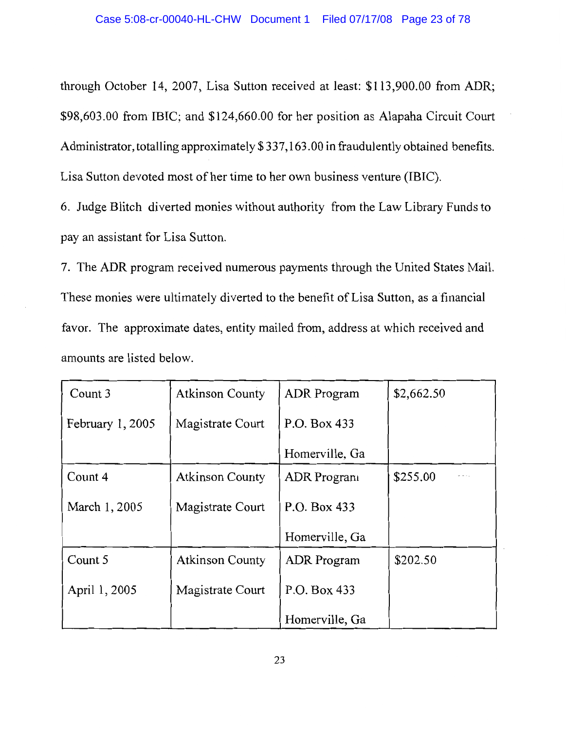through October 14, 2007, Lisa Sutton received at least: \$113,900.00 from ADR; \$98,603.00 from IBIC; and \$124,660.00 for her position as Alapaha Circuit Court Administrator, totalling approximately \$337,163.00 in fraudulently obtained benefits. Lisa Sutton devoted most of her time to her own business venture (IBIC).

6. Judge Blitch diverted monies without authority from the Law Library Funds to pay an assistant for Lisa Sutton.

7. The ADR program received numerous payments through the United States Mail. These monies were ultimately diverted to the benefit of Lisa Sutton, as a financial favor. The approximate dates, entity mailed from, address at which received and amounts are listed below.

| Count 3           | <b>Atkinson County</b> | <b>ADR</b> Program | \$2,662.50 |
|-------------------|------------------------|--------------------|------------|
| February $1,2005$ | Magistrate Court       | P.O. Box 433       |            |
|                   |                        | Homerville, Ga     |            |
| Count 4           | <b>Atkinson County</b> | <b>ADR</b> Program | \$255.00   |
| March 1, 2005     | Magistrate Court       | P.O. Box 433       |            |
|                   |                        | Homerville, Ga     |            |
| Count 5           | <b>Atkinson County</b> | <b>ADR</b> Program | \$202.50   |
| April 1, 2005     | Magistrate Court       | P.O. Box 433       |            |
|                   |                        | Homerville, Ga     |            |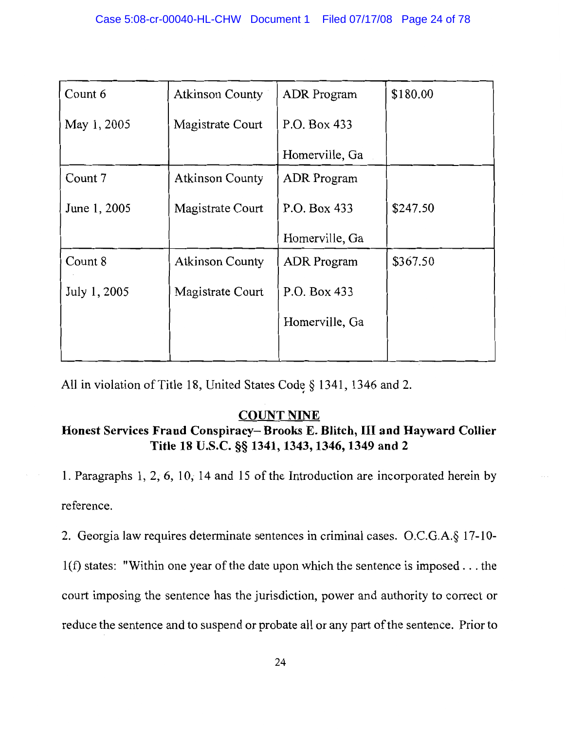| Count 6      | <b>Atkinson County</b> | ADR Program        | \$180.00 |
|--------------|------------------------|--------------------|----------|
| May 1, 2005  | Magistrate Court       | P.O. Box 433       |          |
|              |                        | Homerville, Ga     |          |
| Count 7      | <b>Atkinson County</b> | <b>ADR</b> Program |          |
| June 1, 2005 | Magistrate Court       | P.O. Box 433       | \$247.50 |
|              |                        | Homerville, Ga     |          |
| Count 8      | <b>Atkinson County</b> | <b>ADR</b> Program | \$367.50 |
| July 1, 2005 | Magistrate Court       | P.O. Box 433       |          |
|              |                        | Homerville, Ga     |          |
|              |                        |                    |          |

All in violation of Title 18, United States Code § 1341, 1346 and 2.

# **COUNT NINE**

# Honest Services Fraud Conspiracy-Brooks E. Blitch, III and Hayward Collier Title 18 U.S.C. §§ 1341, 1343, 1346, 1349 and 2

1. Paragraphs 1, 2, 6, 10, 14 and 15 of the Introduction are incorporated herein by reference.

2. Georgia law requires determinate sentences in criminal cases. O.C.G.A.§ 17-10-

 $1(f)$  states: "Within one year of the date upon which the sentence is imposed ... the court imposing the sentence has the jurisdiction, power and authority to correct or

reduce the sentence and to suspend or probate all or any part of the sentence. Prior to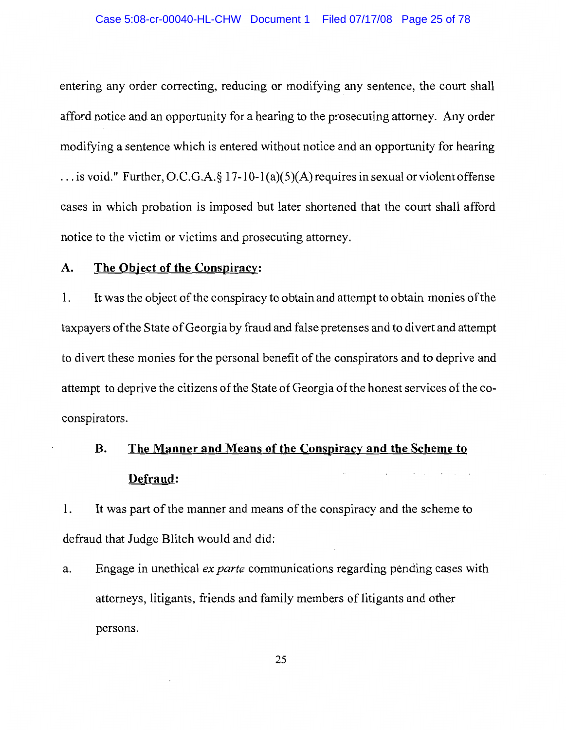### Case 5:08-cr-00040-HL-CHW Document 1 Filed 07/17/08 Page 25 of 78

entering any order correcting, reducing or modifying any sentence, the court shall afford notice and an opportunity for a hearing to the prosecuting attorney. Any order modifying a sentence which is entered without notice and an opportunity for hearing ... is void." Further, O.C.G.A.  $\S 17$ -10-1(a)(5)(A) requires in sexual or violent offense cases in which probation is imposed but later shortened that the court shall afford notice to the victim or victims and prosecuting attorney.

#### A. The Object of the Conspiracy:

1. It was the object of the conspiracy to obtain and attempt to obtain monies of the taxpayers of the State of Georgia by fraud and false pretenses and to divert and attempt to divert these monies for the personal benefit of the conspirators and to deprive and attempt to deprive the citizens of the State of Georgia of the honest services of the coconspirators.

# The Manner and Means of the Conspiracy and the Scheme to **B.** Defraud:

It was part of the manner and means of the conspiracy and the scheme to 1. defraud that Judge Blitch would and did:

Engage in unethical *ex parte* communications regarding pending cases with a. attorneys, litigants, friends and family members of litigants and other persons.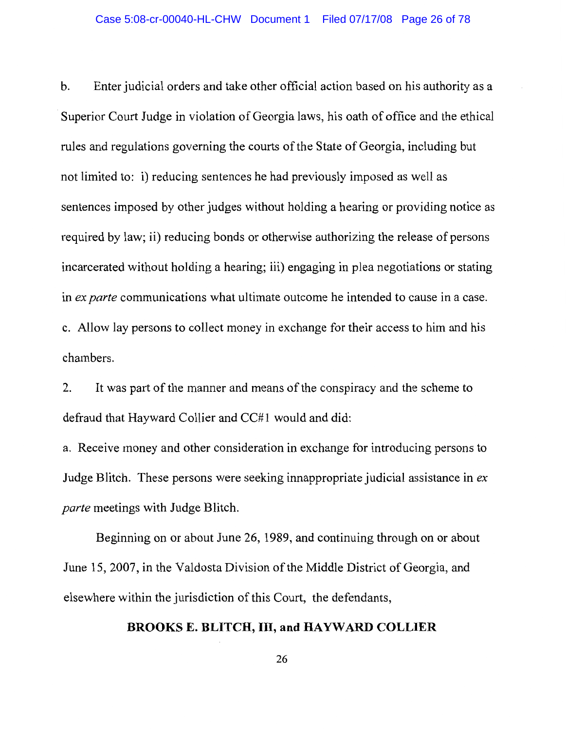Enter judicial orders and take other official action based on his authority as a  $\mathbf b$ . Superior Court Judge in violation of Georgia laws, his oath of office and the ethical rules and regulations governing the courts of the State of Georgia, including but not limited to: i) reducing sentences he had previously imposed as well as sentences imposed by other judges without holding a hearing or providing notice as required by law; ii) reducing bonds or otherwise authorizing the release of persons incarcerated without holding a hearing; iii) engaging in plea negotiations or stating in ex parte communications what ultimate outcome he intended to cause in a case. c. Allow lay persons to collect money in exchange for their access to him and his chambers.

2. It was part of the manner and means of the conspiracy and the scheme to defraud that Hayward Collier and CC#1 would and did:

a. Receive money and other consideration in exchange for introducing persons to Judge Blitch. These persons were seeking innappropriate judicial assistance in ex *parte* meetings with Judge Blitch.

Beginning on or about June 26, 1989, and continuing through on or about June 15, 2007, in the Valdosta Division of the Middle District of Georgia, and elsewhere within the jurisdiction of this Court, the defendants,

### **BROOKS E. BLITCH, III, and HAYWARD COLLIER**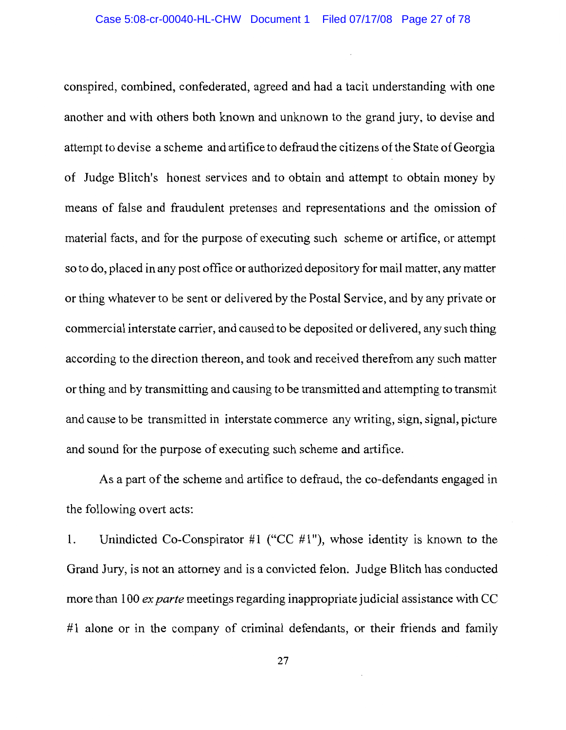conspired, combined, confederated, agreed and had a tacit understanding with one another and with others both known and unknown to the grand jury, to devise and attempt to devise a scheme and artifice to defraud the citizens of the State of Georgia of Judge Blitch's honest services and to obtain and attempt to obtain money by means of false and fraudulent pretenses and representations and the omission of material facts, and for the purpose of executing such scheme or artifice, or attempt so to do, placed in any post office or authorized depository for mail matter, any matter or thing whatever to be sent or delivered by the Postal Service, and by any private or commercial interstate carrier, and caused to be deposited or delivered, any such thing according to the direction thereon, and took and received therefrom any such matter or thing and by transmitting and causing to be transmitted and attempting to transmit and cause to be transmitted in interstate commerce any writing, sign, signal, picture and sound for the purpose of executing such scheme and artifice.

As a part of the scheme and artifice to defraud, the co-defendants engaged in the following overt acts:

Unindicted Co-Conspirator #1 ("CC #1"), whose identity is known to the  $1.$ Grand Jury, is not an attorney and is a convicted felon. Judge Blitch has conducted more than 100 ex parte meetings regarding inappropriate judicial assistance with CC #1 alone or in the company of criminal defendants, or their friends and family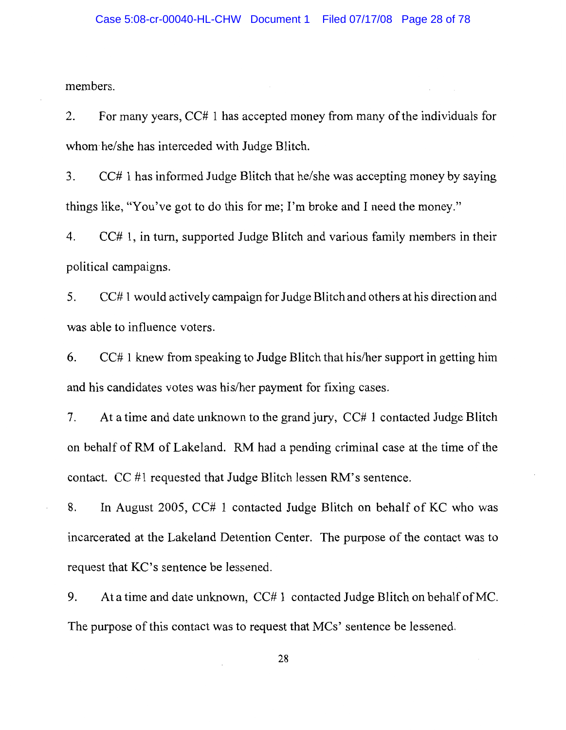members.

2. For many years, CC# 1 has accepted money from many of the individuals for whom he/she has interceded with Judge Blitch.

CC# 1 has informed Judge Blitch that he/she was accepting money by saying 3. things like, "You've got to do this for me; I'm broke and I need the money."

 $CC# 1$ , in turn, supported Judge Blitch and various family members in their 4. political campaigns.

CC#1 would actively campaign for Judge Blitch and others at his direction and 5. was able to influence voters.

CC# 1 knew from speaking to Judge Blitch that his/her support in getting him 6. and his candidates votes was his/her payment for fixing cases.

7. At a time and date unknown to the grand jury, CC# 1 contacted Judge Blitch on behalf of RM of Lakeland. RM had a pending criminal case at the time of the contact.  $CC \#1$  requested that Judge Blitch lessen RM's sentence.

8. In August 2005, CC# 1 contacted Judge Blitch on behalf of KC who was incarcerated at the Lakeland Detention Center. The purpose of the contact was to request that KC's sentence be lessened.

At a time and date unknown, CC# 1 contacted Judge Blitch on behalf of MC. 9. The purpose of this contact was to request that MCs' sentence be lessened.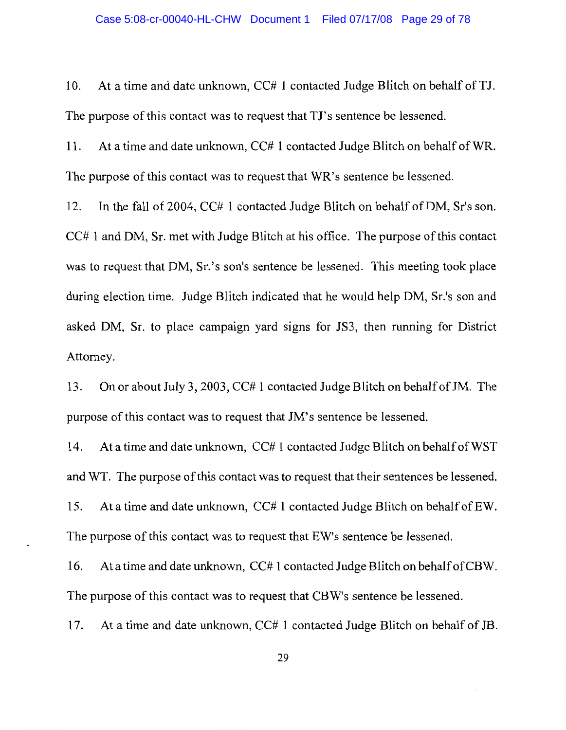10. At a time and date unknown, CC# 1 contacted Judge Blitch on behalf of TJ. The purpose of this contact was to request that TJ's sentence be lessened.

11. At a time and date unknown, CC# 1 contacted Judge Blitch on behalf of WR. The purpose of this contact was to request that WR's sentence be lessened.

12. In the fall of 2004, CC# 1 contacted Judge Blitch on behalf of DM, Sr's son.  $CC# 1$  and DM, Sr. met with Judge Blitch at his office. The purpose of this contact was to request that DM, Sr.'s son's sentence be lessened. This meeting took place during election time. Judge Blitch indicated that he would help DM, Sr.'s son and asked DM, Sr. to place campaign yard signs for JS3, then running for District Attorney.

13. On or about July 3, 2003, CC# 1 contacted Judge Blitch on behalf of JM. The purpose of this contact was to request that JM's sentence be lessened.

14. At a time and date unknown, CC# 1 contacted Judge Blitch on behalf of WST and WT. The purpose of this contact was to request that their sentences be lessened. 15. At a time and date unknown, CC# 1 contacted Judge Blitch on behalf of EW. The purpose of this contact was to request that EW's sentence be lessened.

16. At a time and date unknown, CC# 1 contacted Judge Blitch on behalf of CBW. The purpose of this contact was to request that CBW's sentence be lessened.

17. At a time and date unknown, CC# 1 contacted Judge Blitch on behalf of JB.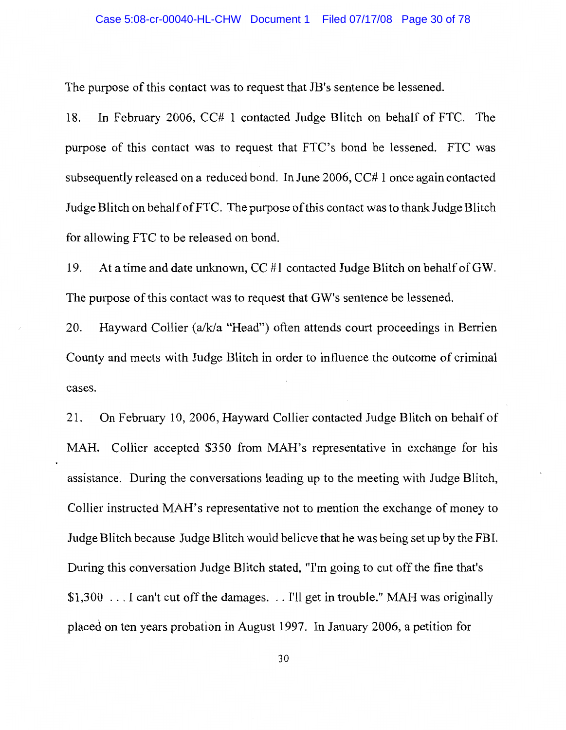### Case 5:08-cr-00040-HL-CHW Document 1 Filed 07/17/08 Page 30 of 78

The purpose of this contact was to request that JB's sentence be lessened.

18. In February 2006, CC# 1 contacted Judge Blitch on behalf of FTC. The purpose of this contact was to request that FTC's bond be lessened. FTC was subsequently released on a reduced bond. In June 2006, CC# 1 once again contacted Judge Blitch on behalf of FTC. The purpose of this contact was to thank Judge Blitch for allowing FTC to be released on bond.

19. At a time and date unknown, CC #1 contacted Judge Blitch on behalf of GW. The purpose of this contact was to request that GW's sentence be lessened.

20. Hayward Collier (a/k/a "Head") often attends court proceedings in Berrien County and meets with Judge Blitch in order to influence the outcome of criminal cases.

On February 10, 2006, Hayward Collier contacted Judge Blitch on behalf of 21. MAH. Collier accepted \$350 from MAH's representative in exchange for his assistance. During the conversations leading up to the meeting with Judge Blitch, Collier instructed MAH's representative not to mention the exchange of money to Judge Blitch because Judge Blitch would believe that he was being set up by the FBI. During this conversation Judge Blitch stated, "I'm going to cut off the fine that's \$1,300 ... I can't cut off the damages.  $\ldots$  I'll get in trouble." MAH was originally placed on ten years probation in August 1997. In January 2006, a petition for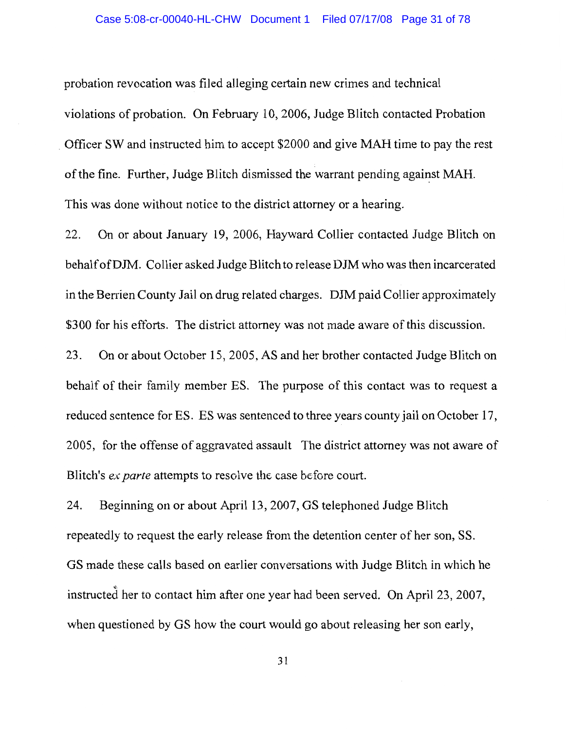probation revocation was filed alleging certain new crimes and technical violations of probation. On February 10, 2006, Judge Blitch contacted Probation Officer SW and instructed him to accept \$2000 and give MAH time to pay the rest of the fine. Further, Judge Blitch dismissed the warrant pending against MAH. This was done without notice to the district attorney or a hearing.

22. On or about January 19, 2006, Hayward Collier contacted Judge Blitch on behalf of DJM. Collier asked Judge Blitch to release DJM who was then incarcerated in the Berrien County Jail on drug related charges. DJM paid Collier approximately \$300 for his efforts. The district attorney was not made aware of this discussion.

23. On or about October 15, 2005, AS and her brother contacted Judge Blitch on behalf of their family member ES. The purpose of this contact was to request a reduced sentence for ES. ES was sentenced to three years county jail on October 17, 2005, for the offense of aggravated assault The district attorney was not aware of Blitch's *ex parte* attempts to resolve the case before court.

24. Beginning on or about April 13, 2007, GS telephoned Judge Blitch repeatedly to request the early release from the detention center of her son, SS. GS made these calls based on earlier conversations with Judge Blitch in which he instructed her to contact him after one year had been served. On April 23, 2007, when questioned by GS how the court would go about releasing her son early,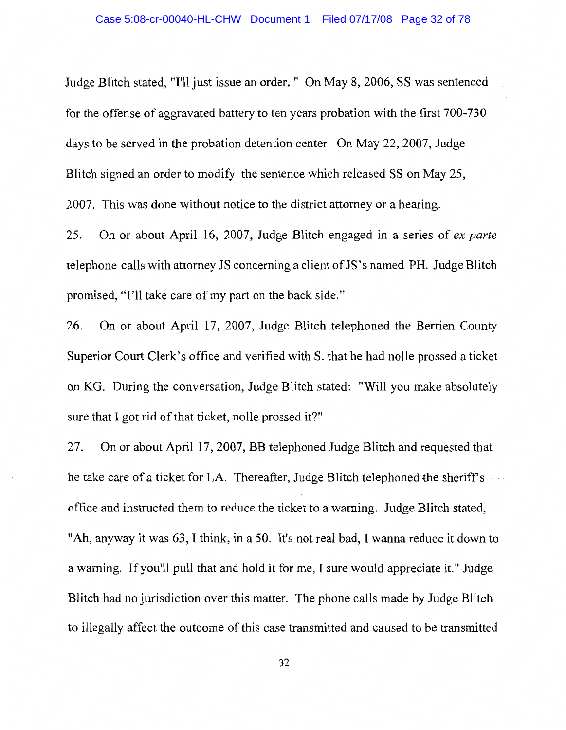Judge Blitch stated, "I'll just issue an order. " On May 8, 2006, SS was sentenced for the offense of aggravated battery to ten years probation with the first 700-730 days to be served in the probation detention center. On May 22, 2007, Judge Blitch signed an order to modify the sentence which released SS on May 25, 2007. This was done without notice to the district attorney or a hearing.

On or about April 16, 2007, Judge Blitch engaged in a series of ex parte 25. telephone calls with attorney JS concerning a client of JS's named PH. Judge Blitch promised, "I'll take care of my part on the back side."

On or about April 17, 2007, Judge Blitch telephoned the Berrien County 26. Superior Court Clerk's office and verified with S. that he had nolle prossed a ticket on KG. During the conversation, Judge Blitch stated: "Will you make absolutely sure that I got rid of that ticket, nolle prossed it?"

27. On or about April 17, 2007, BB telephoned Judge Blitch and requested that he take care of a ticket for LA. Thereafter, Judge Blitch telephoned the sheriff's office and instructed them to reduce the ticket to a warning. Judge Blitch stated, "Ah, anyway it was 63, I think, in a 50. It's not real bad, I wanna reduce it down to a warning. If you'll pull that and hold it for me, I sure would appreciate it." Judge Blitch had no jurisdiction over this matter. The phone calls made by Judge Blitch to illegally affect the outcome of this case transmitted and caused to be transmitted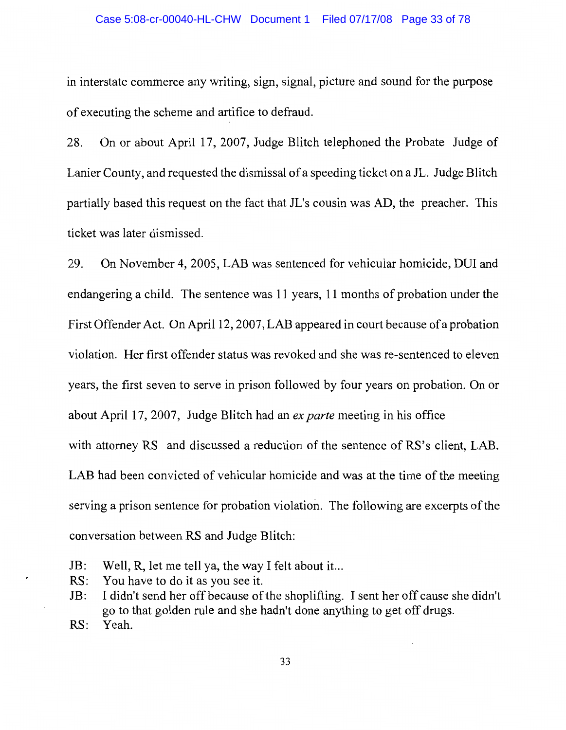### Case 5:08-cr-00040-HL-CHW Document 1 Filed 07/17/08 Page 33 of 78

in interstate commerce any writing, sign, signal, picture and sound for the purpose of executing the scheme and artifice to defraud.

On or about April 17, 2007, Judge Blitch telephoned the Probate Judge of 28. Lanier County, and requested the dismissal of a speeding ticket on a JL. Judge Blitch partially based this request on the fact that JL's cousin was AD, the preacher. This ticket was later dismissed.

29. On November 4, 2005, LAB was sentenced for vehicular homicide, DUI and endangering a child. The sentence was 11 years, 11 months of probation under the First Offender Act. On April 12, 2007, LAB appeared in court because of a probation violation. Her first offender status was revoked and she was re-sentenced to eleven years, the first seven to serve in prison followed by four years on probation. On or about April 17, 2007, Judge Blitch had an ex parte meeting in his office with attorney RS and discussed a reduction of the sentence of RS's client, LAB. LAB had been convicted of vehicular homicide and was at the time of the meeting serving a prison sentence for probation violation. The following are excerpts of the conversation between RS and Judge Blitch:

- Well, R, let me tell ya, the way I felt about it...  $JB:$
- You have to do it as you see it.  $RS:$
- I didn't send her off because of the shoplifting. I sent her off cause she didn't JB: go to that golden rule and she hadn't done anything to get off drugs.
- $RS:$ Yeah.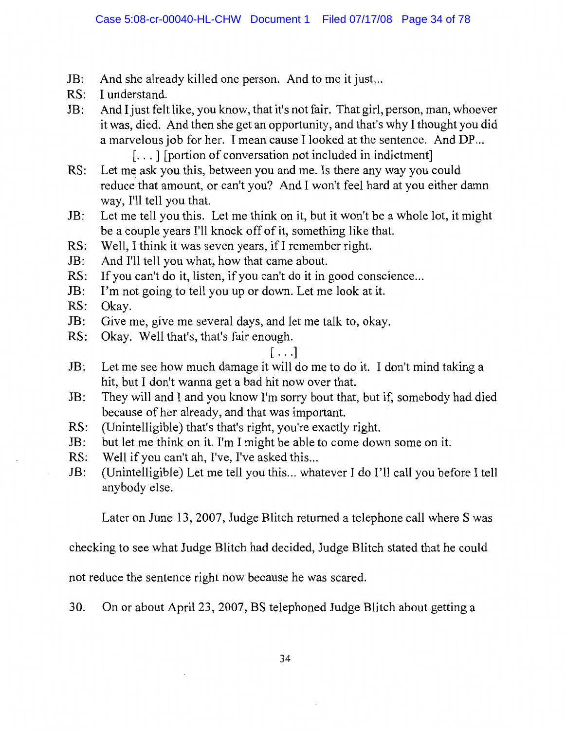- And she already killed one person. And to me it just... JB:
- $RS:$ I understand.
- And I just felt like, you know, that it's not fair. That girl, person, man, whoever  $JB:$ it was, died. And then she get an opportunity, and that's why I thought you did a marvelous job for her. I mean cause I looked at the sentence. And DP... [...] [portion of conversation not included in indictment]
- Let me ask you this, between you and me. Is there any way you could  $RS:$ reduce that amount, or can't you? And I won't feel hard at you either damn way, I'll tell you that.
- $JB:$ Let me tell you this. Let me think on it, but it won't be a whole lot, it might be a couple years I'll knock off of it, something like that.
- Well, I think it was seven years, if I remember right.  $RS:$
- JB: And I'll tell you what, how that came about.
- RS: If you can't do it, listen, if you can't do it in good conscience...
- I'm not going to tell you up or down. Let me look at it. JB:
- $RS:$ Okav.
- $JB:$ Give me, give me several days, and let me talk to, okay.
- Okay. Well that's, that's fair enough.  $RS:$

# $[\ldots]$

- Let me see how much damage it will do me to do it. I don't mind taking a  $JB:$ hit, but I don't wanna get a bad hit now over that.
- JB: They will and I and you know I'm sorry bout that, but if, somebody had died because of her already, and that was important.
- $RS:$ (Unintelligible) that's that's right, you're exactly right.
- but let me think on it. I'm I might be able to come down some on it.  $JB:$
- RS: Well if you can't ah, I've, I've asked this...
- JB: (Unintelligible) Let me tell you this... whatever I do I'll call you before I tell anybody else.

Later on June 13, 2007, Judge Blitch returned a telephone call where S was

checking to see what Judge Blitch had decided, Judge Blitch stated that he could

not reduce the sentence right now because he was scared.

30. On or about April 23, 2007, BS telephoned Judge Blitch about getting a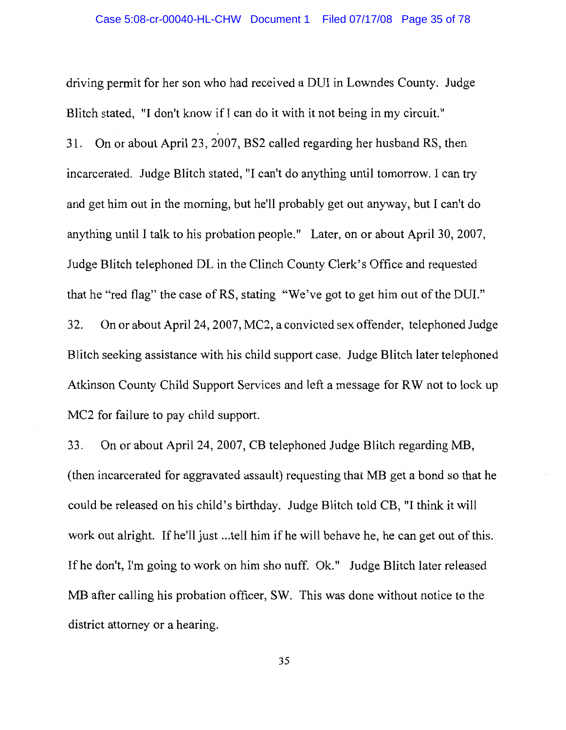driving permit for her son who had received a DUI in Lowndes County. Judge Blitch stated, "I don't know if I can do it with it not being in my circuit." On or about April 23, 2007, BS2 called regarding her husband RS, then  $31.$ incarcerated. Judge Blitch stated, "I can't do anything until tomorrow. I can try and get him out in the morning, but he'll probably get out anyway, but I can't do anything until I talk to his probation people." Later, on or about April 30, 2007, Judge Blitch telephoned DL in the Clinch County Clerk's Office and requested that he "red flag" the case of RS, stating "We've got to get him out of the DUI." 32. On or about April 24, 2007, MC2, a convicted sex offender, telephoned Judge Blitch seeking assistance with his child support case. Judge Blitch later telephoned Atkinson County Child Support Services and left a message for RW not to lock up MC2 for failure to pay child support.

33. On or about April 24, 2007, CB telephoned Judge Blitch regarding MB, (then incarcerated for aggravated assault) requesting that MB get a bond so that he could be released on his child's birthday. Judge Blitch told CB, "I think it will work out alright. If he'll just ...tell him if he will behave he, he can get out of this. If he don't, I'm going to work on him sho nuff. Ok." Judge Blitch later released MB after calling his probation officer, SW. This was done without notice to the district attorney or a hearing.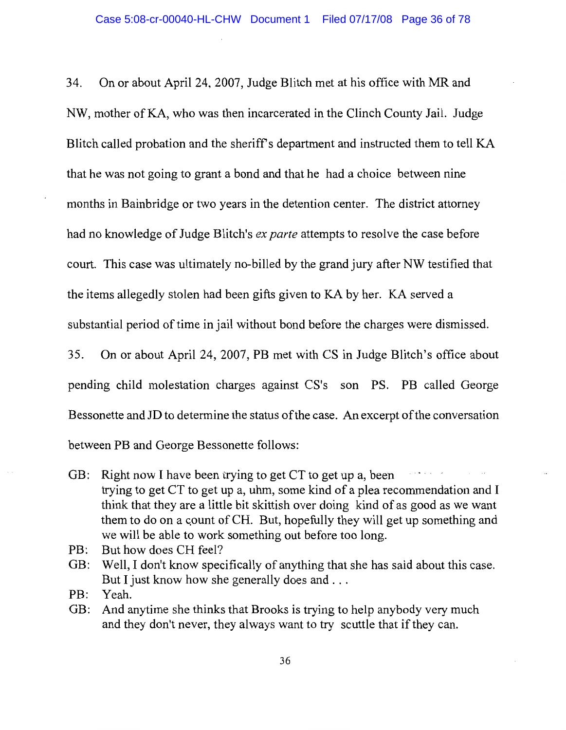34. On or about April 24, 2007, Judge Blitch met at his office with MR and NW, mother of KA, who was then incarcerated in the Clinch County Jail. Judge Blitch called probation and the sheriff's department and instructed them to tell KA that he was not going to grant a bond and that he had a choice between nine months in Bainbridge or two years in the detention center. The district attorney had no knowledge of Judge Blitch's *ex parte* attempts to resolve the case before court. This case was ultimately no-billed by the grand jury after NW testified that the items allegedly stolen had been gifts given to KA by her. KA served a substantial period of time in jail without bond before the charges were dismissed. 35. On or about April 24, 2007, PB met with CS in Judge Blitch's office about pending child molestation charges against CS's son PS. PB called George

Bessonette and JD to determine the status of the case. An excerpt of the conversation

between PB and George Bessonette follows:

- GB: Right now I have been trying to get CT to get up a, been trying to get CT to get up a, uhm, some kind of a plea recommendation and I think that they are a little bit skittish over doing kind of as good as we want them to do on a count of CH. But, hopefully they will get up something and we will be able to work something out before too long.
- PB: But how does CH feel?
- GB: Well, I don't know specifically of anything that she has said about this case. But I just know how she generally does and . . .

Yeah. PB:

GB: And anytime she thinks that Brooks is trying to help anybody very much and they don't never, they always want to try scuttle that if they can.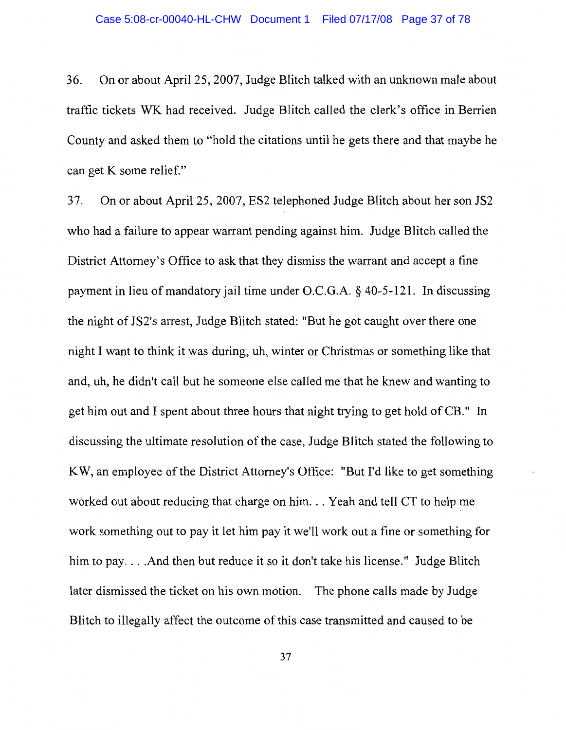36. On or about April 25, 2007, Judge Blitch talked with an unknown male about traffic tickets WK had received. Judge Blitch called the clerk's office in Berrien County and asked them to "hold the citations until he gets there and that maybe he can get K some relief."

37. On or about April 25, 2007, ES2 telephoned Judge Blitch about her son JS2 who had a failure to appear warrant pending against him. Judge Blitch called the District Attorney's Office to ask that they dismiss the warrant and accept a fine payment in lieu of mandatory jail time under O.C.G.A.  $\S$  40-5-121. In discussing the night of JS2's arrest, Judge Blitch stated: "But he got caught over there one night I want to think it was during, uh, winter or Christmas or something like that and, uh, he didn't call but he someone else called me that he knew and wanting to get him out and I spent about three hours that night trying to get hold of CB." In discussing the ultimate resolution of the case, Judge Blitch stated the following to KW, an employee of the District Attorney's Office: "But I'd like to get something worked out about reducing that charge on him. . . Yeah and tell CT to help me work something out to pay it let him pay it we'll work out a fine or something for him to pay. . . . And then but reduce it so it don't take his license." Judge Blitch later dismissed the ticket on his own motion. The phone calls made by Judge Blitch to illegally affect the outcome of this case transmitted and caused to be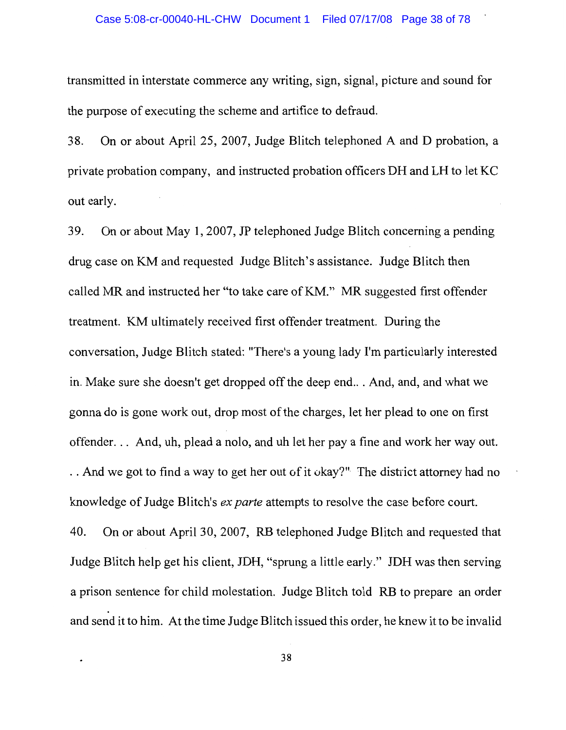#### Case 5:08-cr-00040-HL-CHW Document 1 Filed 07/17/08 Page 38 of 78

transmitted in interstate commerce any writing, sign, signal, picture and sound for the purpose of executing the scheme and artifice to defraud.

On or about April 25, 2007, Judge Blitch telephoned A and D probation, a 38. private probation company, and instructed probation officers DH and LH to let KC out early.

On or about May 1, 2007, JP telephoned Judge Blitch concerning a pending 39. drug case on KM and requested Judge Blitch's assistance. Judge Blitch then called MR and instructed her "to take care of KM." MR suggested first offender treatment. KM ultimately received first offender treatment. During the conversation, Judge Blitch stated: "There's a young lady I'm particularly interested in. Make sure she doesn't get dropped off the deep end... And, and, and what we gonna do is gone work out, drop most of the charges, let her plead to one on first offender... And, uh, plead a nolo, and uh let her pay a fine and work her way out. .. And we got to find a way to get her out of it okay?" The district attorney had no knowledge of Judge Blitch's *ex parte* attempts to resolve the case before court. 40. On or about April 30, 2007, RB telephoned Judge Blitch and requested that Judge Blitch help get his client, JDH, "sprung a little early." JDH was then serving a prison sentence for child molestation. Judge Blitch told RB to prepare an order

38

and send it to him. At the time Judge Blitch issued this order, he knew it to be invalid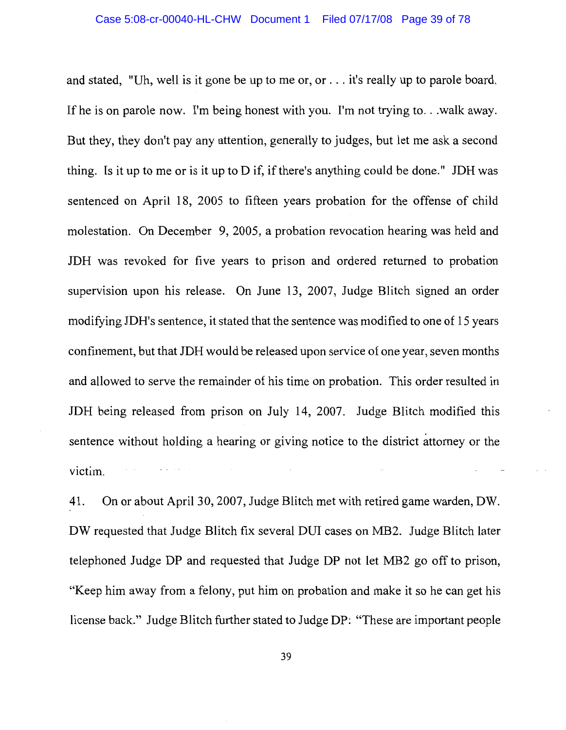and stated, "Uh, well is it gone be up to me or, or . . . it's really up to parole board. If he is on parole now. I'm being honest with you. I'm not trying to... walk away. But they, they don't pay any attention, generally to judges, but let me ask a second thing. Is it up to me or is it up to  $D$  if, if there's anything could be done." JDH was sentenced on April 18, 2005 to fifteen years probation for the offense of child molestation. On December 9, 2005, a probation revocation hearing was held and JDH was revoked for five years to prison and ordered returned to probation supervision upon his release. On June 13, 2007, Judge Blitch signed an order modifying JDH's sentence, it stated that the sentence was modified to one of 15 years confinement, but that JDH would be released upon service of one year, seven months and allowed to serve the remainder of his time on probation. This order resulted in JDH being released from prison on July 14, 2007. Judge Blitch modified this sentence without holding a hearing or giving notice to the district attorney or the victim.

On or about April 30, 2007, Judge Blitch met with retired game warden, DW. 41. DW requested that Judge Blitch fix several DUI cases on MB2. Judge Blitch later telephoned Judge DP and requested that Judge DP not let MB2 go off to prison, "Keep him away from a felony, put him on probation and make it so he can get his license back." Judge Blitch further stated to Judge DP: "These are important people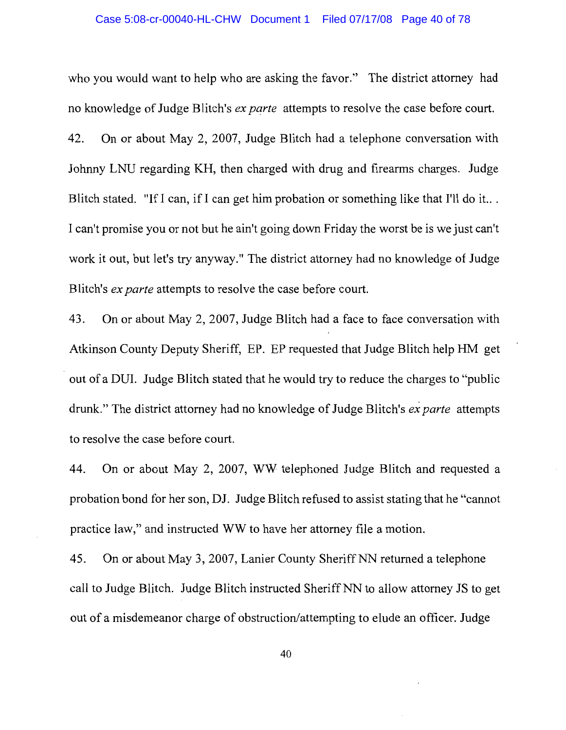#### Case 5:08-cr-00040-HL-CHW Document 1 Filed 07/17/08 Page 40 of 78

who you would want to help who are asking the favor." The district attorney had no knowledge of Judge Blitch's *ex parte* attempts to resolve the case before court. 42. On or about May 2, 2007, Judge Blitch had a telephone conversation with Johnny LNU regarding KH, then charged with drug and firearms charges. Judge Blitch stated. "If I can, if I can get him probation or something like that I'll do it... I can't promise you or not but he ain't going down Friday the worst be is we just can't work it out, but let's try anyway." The district attorney had no knowledge of Judge Blitch's ex parte attempts to resolve the case before court.

43. On or about May 2, 2007, Judge Blitch had a face to face conversation with Atkinson County Deputy Sheriff, EP. EP requested that Judge Blitch help HM get out of a DUI. Judge Blitch stated that he would try to reduce the charges to "public" drunk." The district attorney had no knowledge of Judge Blitch's ex parte attempts to resolve the case before court.

On or about May 2, 2007, WW telephoned Judge Blitch and requested a 44. probation bond for her son, DJ. Judge Blitch refused to assist stating that he "cannot" practice law," and instructed WW to have her attorney file a motion.

45. On or about May 3, 2007, Lanier County Sheriff NN returned a telephone call to Judge Blitch. Judge Blitch instructed Sheriff NN to allow attorney JS to get out of a misdemeanor charge of obstruction/attempting to elude an officer. Judge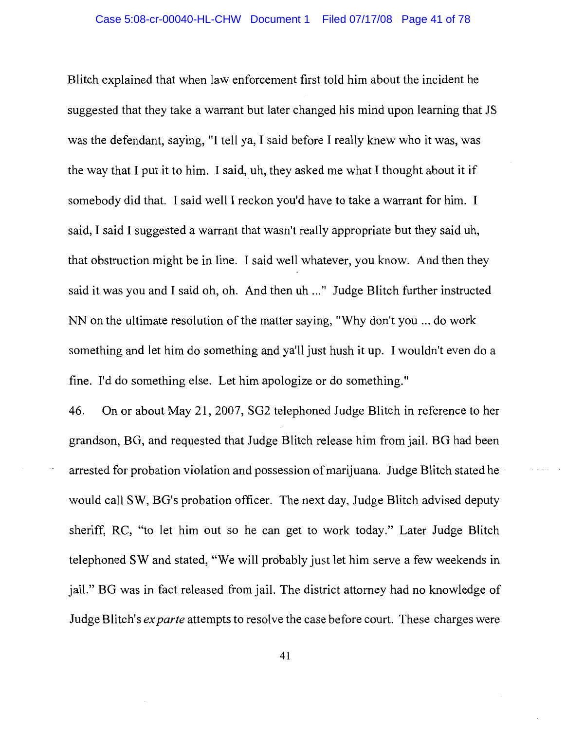Blitch explained that when law enforcement first told him about the incident he suggested that they take a warrant but later changed his mind upon learning that JS was the defendant, saying, "I tell ya, I said before I really knew who it was, was the way that I put it to him. I said, uh, they asked me what I thought about it if somebody did that. I said well I reckon you'd have to take a warrant for him. I said, I said I suggested a warrant that wasn't really appropriate but they said uh, that obstruction might be in line. I said well whatever, you know. And then they said it was you and I said oh, oh. And then uh ..." Judge Blitch further instructed NN on the ultimate resolution of the matter saying, "Why don't you ... do work something and let him do something and ya'll just hush it up. I wouldn't even do a fine. I'd do something else. Let him apologize or do something."

46. On or about May 21, 2007, SG2 telephoned Judge Blitch in reference to her grandson, BG, and requested that Judge Blitch release him from jail. BG had been arrested for probation violation and possession of marijuana. Judge Blitch stated he would call SW, BG's probation officer. The next day, Judge Blitch advised deputy sheriff, RC, "to let him out so he can get to work today." Later Judge Blitch telephoned SW and stated, "We will probably just let him serve a few weekends in jail." BG was in fact released from jail. The district attorney had no knowledge of Judge Blitch's *ex parte* attempts to resolve the case before court. These charges were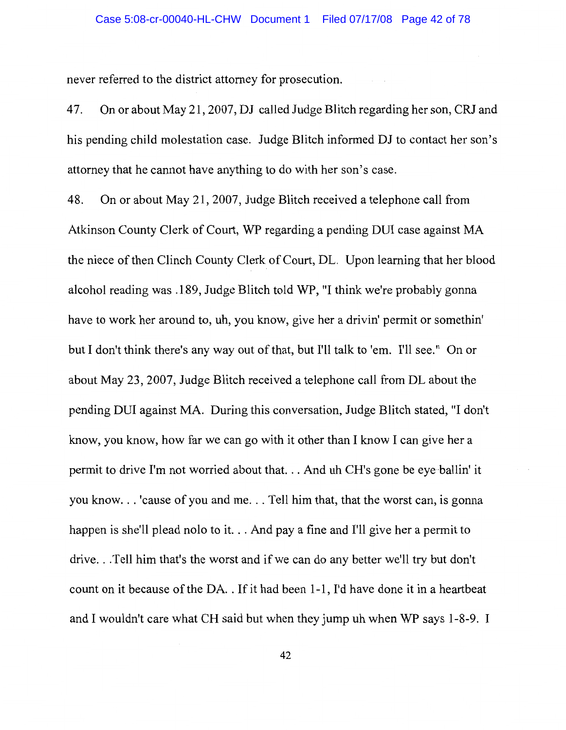never referred to the district attorney for prosecution.

47. On or about May 21, 2007, DJ called Judge Blitch regarding her son, CRJ and his pending child molestation case. Judge Blitch informed DJ to contact her son's attorney that he cannot have anything to do with her son's case.

On or about May 21, 2007, Judge Blitch received a telephone call from 48. Atkinson County Clerk of Court, WP regarding a pending DUI case against MA the niece of then Clinch County Clerk of Court, DL. Upon learning that her blood alcohol reading was .189, Judge Blitch told WP, "I think we're probably gonna have to work her around to, uh, you know, give her a drivin' permit or somethin' but I don't think there's any way out of that, but I'll talk to 'em. I'll see." On or about May 23, 2007, Judge Blitch received a telephone call from DL about the pending DUI against MA. During this conversation, Judge Blitch stated, "I don't know, you know, how far we can go with it other than I know I can give her a permit to drive I'm not worried about that... And uh CH's gone be eye ballin' it you know...' cause of you and me... Tell him that, that the worst can, is gonna happen is she'll plead nolo to it... And pay a fine and I'll give her a permit to drive...Tell him that's the worst and if we can do any better we'll try but don't count on it because of the DA. . If it had been 1-1, I'd have done it in a heartbeat and I wouldn't care what CH said but when they jump uh when WP says 1-8-9. I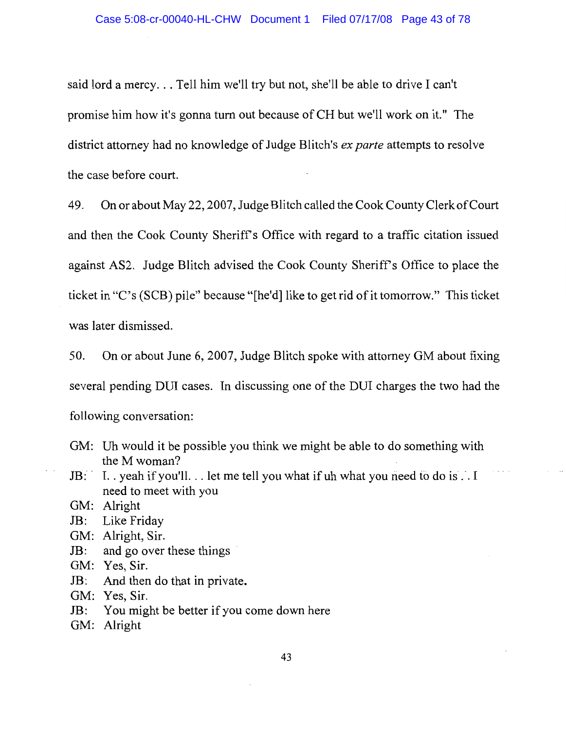said lord a mercy... Tell him we'll try but not, she'll be able to drive I can't promise him how it's gonna turn out because of CH but we'll work on it." The district attorney had no knowledge of Judge Blitch's *ex parte* attempts to resolve the case before court.

49. On or about May 22, 2007, Judge Blitch called the Cook County Clerk of Court and then the Cook County Sheriff's Office with regard to a traffic citation issued against AS2. Judge Blitch advised the Cook County Sheriff's Office to place the ticket in "C's (SCB) pile" because "[he'd] like to get rid of it tomorrow." This ticket was later dismissed.

50. On or about June 6, 2007, Judge Blitch spoke with attorney GM about fixing several pending DUI cases. In discussing one of the DUI charges the two had the following conversation:

- GM: Uh would it be possible you think we might be able to do something with the M woman?
- I. . yeah if you'll. . . let me tell you what if uh what you need to do is . . I  $JB:$ need to meet with you
- GM: Alright
- Like Friday  $JB:$
- GM: Alright, Sir.
- and go over these things  $JB:$

GM: Yes, Sir.

 $JB:$ And then do that in private.

GM: Yes, Sir.

You might be better if you come down here  $JB:$ 

GM: Alright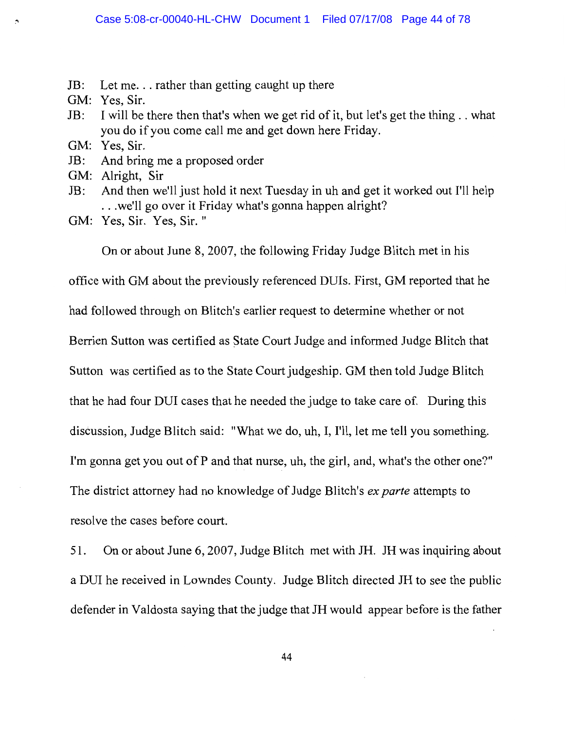- $JB:$ Let me... rather than getting caught up there
- GM: Yes, Sir.
- $JB:$ I will be there then that's when we get rid of it, but let's get the thing... what you do if you come call me and get down here Friday.
- GM: Yes, Sir.
- JB: And bring me a proposed order
- GM: Alright, Sir
- And then we'll just hold it next Tuesday in uh and get it worked out I'll help  $JB:$ ... we'll go over it Friday what's gonna happen alright?
- GM: Yes, Sir. Yes, Sir."

On or about June 8, 2007, the following Friday Judge Blitch met in his

office with GM about the previously referenced DUIs. First, GM reported that he had followed through on Blitch's earlier request to determine whether or not Berrien Sutton was certified as State Court Judge and informed Judge Blitch that Sutton was certified as to the State Court judgeship. GM then told Judge Blitch that he had four DUI cases that he needed the judge to take care of. During this discussion, Judge Blitch said: "What we do, uh, I, I'll, let me tell you something. I'm gonna get you out of P and that nurse, uh, the girl, and, what's the other one?" The district attorney had no knowledge of Judge Blitch's *ex parte* attempts to

resolve the cases before court.

51. On or about June 6, 2007, Judge Blitch met with JH. JH was inquiring about a DUI he received in Lowndes County. Judge Blitch directed JH to see the public defender in Valdosta saying that the judge that JH would appear before is the father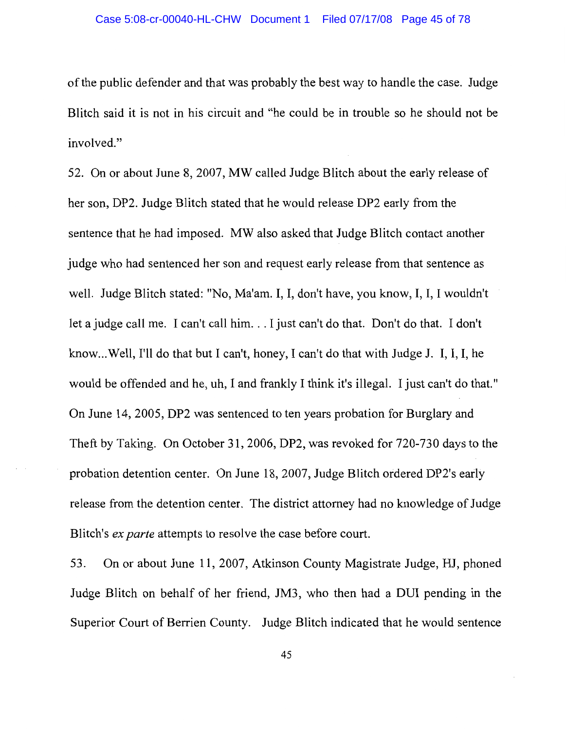of the public defender and that was probably the best way to handle the case. Judge Blitch said it is not in his circuit and "he could be in trouble so he should not be involved."

52. On or about June 8, 2007, MW called Judge Blitch about the early release of her son, DP2. Judge Blitch stated that he would release DP2 early from the sentence that he had imposed. MW also asked that Judge Blitch contact another judge who had sentenced her son and request early release from that sentence as well. Judge Blitch stated: "No, Ma'am. I, I, don't have, you know, I, I, I wouldn't let a judge call me. I can't call him... I just can't do that. Don't do that. I don't know...Well, I'll do that but I can't, honey, I can't do that with Judge J. I, I, I, he would be offended and he, uh, I and frankly I think it's illegal. I just can't do that." On June 14, 2005, DP2 was sentenced to ten years probation for Burglary and Theft by Taking. On October 31, 2006, DP2, was revoked for 720-730 days to the probation detention center. On June 18, 2007, Judge Blitch ordered DP2's early release from the detention center. The district attorney had no knowledge of Judge Blitch's *ex parte* attempts to resolve the case before court.

On or about June 11, 2007, Atkinson County Magistrate Judge, HJ, phoned 53. Judge Blitch on behalf of her friend, JM3, who then had a DUI pending in the Superior Court of Berrien County. Judge Blitch indicated that he would sentence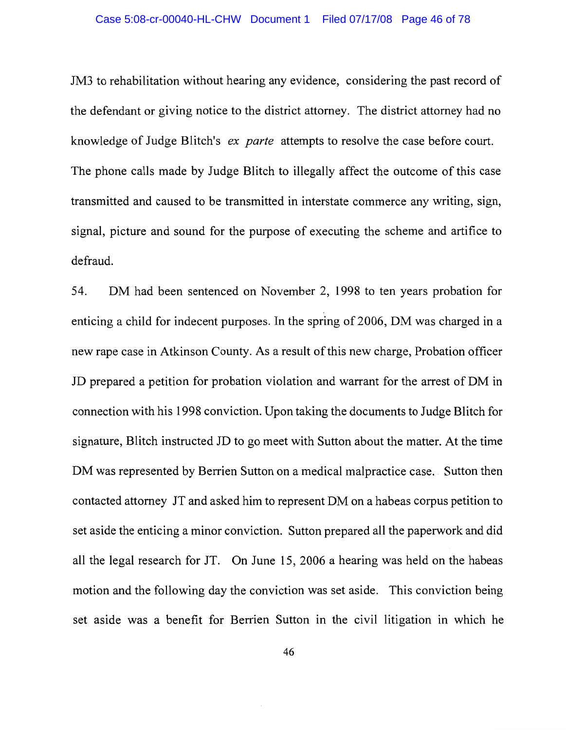JM3 to rehabilitation without hearing any evidence, considering the past record of the defendant or giving notice to the district attorney. The district attorney had no knowledge of Judge Blitch's ex parte attempts to resolve the case before court. The phone calls made by Judge Blitch to illegally affect the outcome of this case transmitted and caused to be transmitted in interstate commerce any writing, sign, signal, picture and sound for the purpose of executing the scheme and artifice to defraud.

DM had been sentenced on November 2, 1998 to ten years probation for 54. enticing a child for indecent purposes. In the spring of 2006, DM was charged in a new rape case in Atkinson County. As a result of this new charge, Probation officer JD prepared a petition for probation violation and warrant for the arrest of DM in connection with his 1998 conviction. Upon taking the documents to Judge Blitch for signature, Blitch instructed JD to go meet with Sutton about the matter. At the time DM was represented by Berrien Sutton on a medical malpractice case. Sutton then contacted attorney JT and asked him to represent DM on a habeas corpus petition to set aside the enticing a minor conviction. Sutton prepared all the paperwork and did all the legal research for JT. On June 15, 2006 a hearing was held on the habeas motion and the following day the conviction was set aside. This conviction being set aside was a benefit for Berrien Sutton in the civil litigation in which he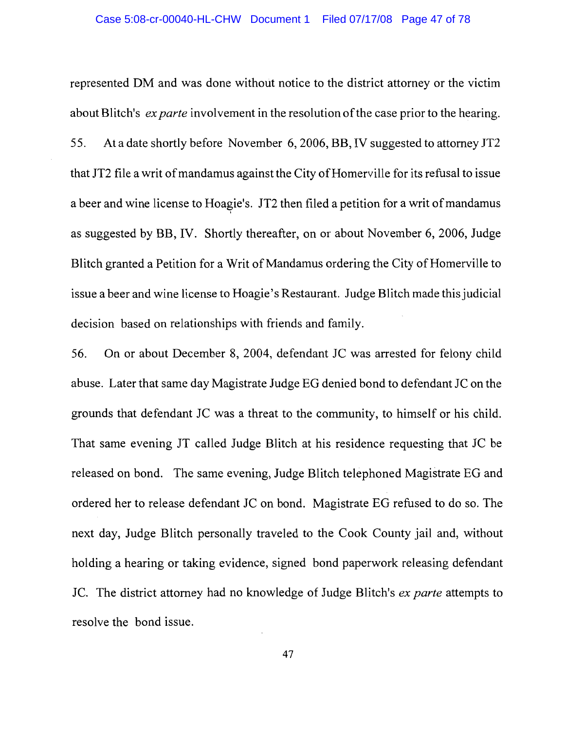represented DM and was done without notice to the district attorney or the victim about Blitch's ex parte involvement in the resolution of the case prior to the hearing. 55. At a date shortly before November 6, 2006, BB, IV suggested to attorney JT2 that JT2 file a writ of mandamus against the City of Homerville for its refusal to issue a beer and wine license to Hoagie's. JT2 then filed a petition for a writ of mandamus as suggested by BB, IV. Shortly thereafter, on or about November 6, 2006, Judge Blitch granted a Petition for a Writ of Mandamus ordering the City of Homerville to issue a beer and wine license to Hoagie's Restaurant. Judge Blitch made this judicial decision based on relationships with friends and family.

56. On or about December 8, 2004, defendant JC was arrested for felony child abuse. Later that same day Magistrate Judge EG denied bond to defendant JC on the grounds that defendant JC was a threat to the community, to himself or his child. That same evening JT called Judge Blitch at his residence requesting that JC be released on bond. The same evening, Judge Blitch telephoned Magistrate EG and ordered her to release defendant JC on bond. Magistrate EG refused to do so. The next day, Judge Blitch personally traveled to the Cook County jail and, without holding a hearing or taking evidence, signed bond paperwork releasing defendant JC. The district attorney had no knowledge of Judge Blitch's ex parte attempts to resolve the bond issue.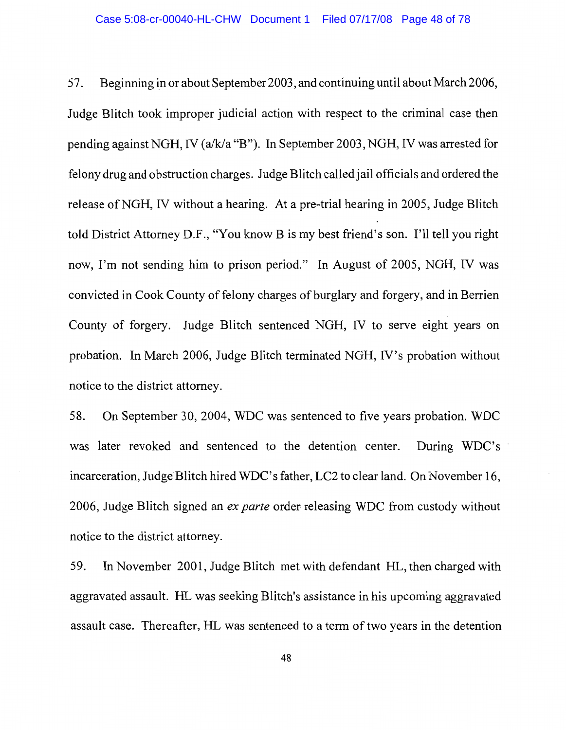Beginning in or about September 2003, and continuing until about March 2006, 57. Judge Blitch took improper judicial action with respect to the criminal case then pending against NGH, IV (a/k/a "B"). In September 2003, NGH, IV was arrested for felony drug and obstruction charges. Judge Blitch called jail officials and ordered the release of NGH, IV without a hearing. At a pre-trial hearing in 2005, Judge Blitch told District Attorney D.F., "You know B is my best friend's son. I'll tell you right now, I'm not sending him to prison period." In August of 2005, NGH, IV was convicted in Cook County of felony charges of burglary and forgery, and in Berrien County of forgery. Judge Blitch sentenced NGH, IV to serve eight years on probation. In March 2006, Judge Blitch terminated NGH, IV's probation without notice to the district attorney.

58. On September 30, 2004, WDC was sentenced to five years probation. WDC was later revoked and sentenced to the detention center. During WDC's incarceration, Judge Blitch hired WDC's father, LC2 to clear land. On November 16, 2006, Judge Blitch signed an ex parte order releasing WDC from custody without notice to the district attorney.

In November 2001, Judge Blitch met with defendant HL, then charged with 59. aggravated assault. HL was seeking Blitch's assistance in his upcoming aggravated assault case. Thereafter, HL was sentenced to a term of two years in the detention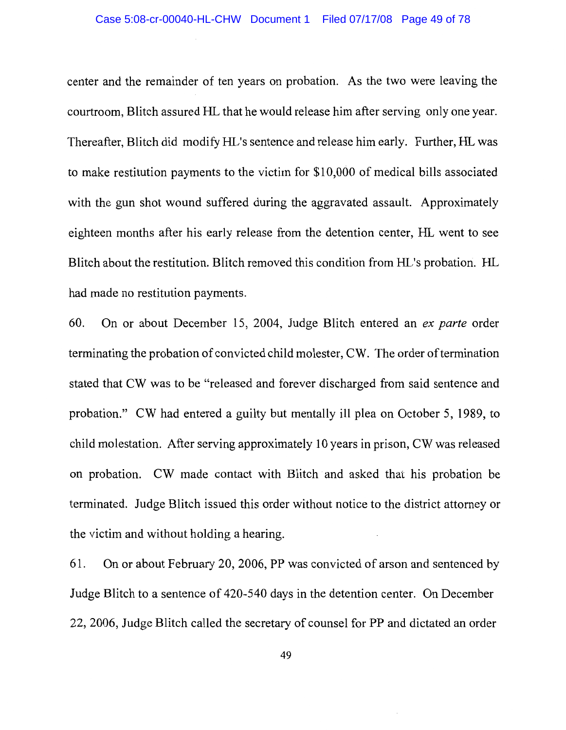center and the remainder of ten years on probation. As the two were leaving the courtroom, Blitch assured HL that he would release him after serving only one year. Thereafter, Blitch did modify HL's sentence and release him early. Further, HL was to make restitution payments to the victim for \$10,000 of medical bills associated with the gun shot wound suffered during the aggravated assault. Approximately eighteen months after his early release from the detention center, HL went to see Blitch about the restitution. Blitch removed this condition from HL's probation. HL had made no restitution payments.

60. On or about December 15, 2004, Judge Blitch entered an ex parte order terminating the probation of convicted child molester, CW. The order of termination stated that CW was to be "released and forever discharged from said sentence and probation." CW had entered a guilty but mentally ill plea on October 5, 1989, to child molestation. After serving approximately 10 years in prison, CW was released on probation. CW made contact with Blitch and asked that his probation be terminated. Judge Blitch issued this order without notice to the district attorney or the victim and without holding a hearing.

On or about February 20, 2006, PP was convicted of arson and sentenced by 61. Judge Blitch to a sentence of 420-540 days in the detention center. On December 22, 2006, Judge Blitch called the secretary of counsel for PP and dictated an order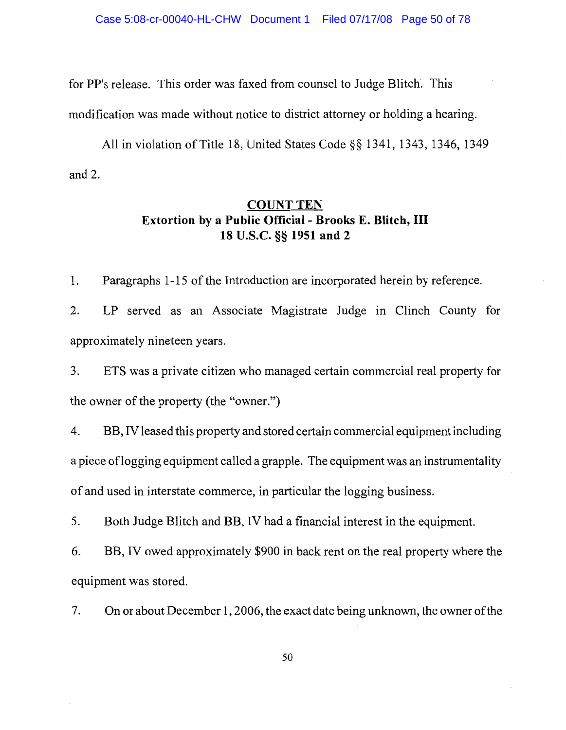for PP's release. This order was faxed from counsel to Judge Blitch. This

modification was made without notice to district attorney or holding a hearing.

All in violation of Title 18, United States Code §§ 1341, 1343, 1346, 1349 and  $2$ .

### **COUNT TEN Extortion by a Public Official - Brooks E. Blitch, III** 18 U.S.C. §§ 1951 and 2

1. Paragraphs 1-15 of the Introduction are incorporated herein by reference.

 $2.$ LP served as an Associate Magistrate Judge in Clinch County for approximately nineteen years.

3. ETS was a private citizen who managed certain commercial real property for the owner of the property (the "owner.")

BB, IV leased this property and stored certain commercial equipment including 4. a piece of logging equipment called a grapple. The equipment was an instrumentality of and used in interstate commerce, in particular the logging business.

5. Both Judge Blitch and BB, IV had a financial interest in the equipment.

6. BB, IV owed approximately \$900 in back rent on the real property where the equipment was stored.

7. On or about December 1, 2006, the exact date being unknown, the owner of the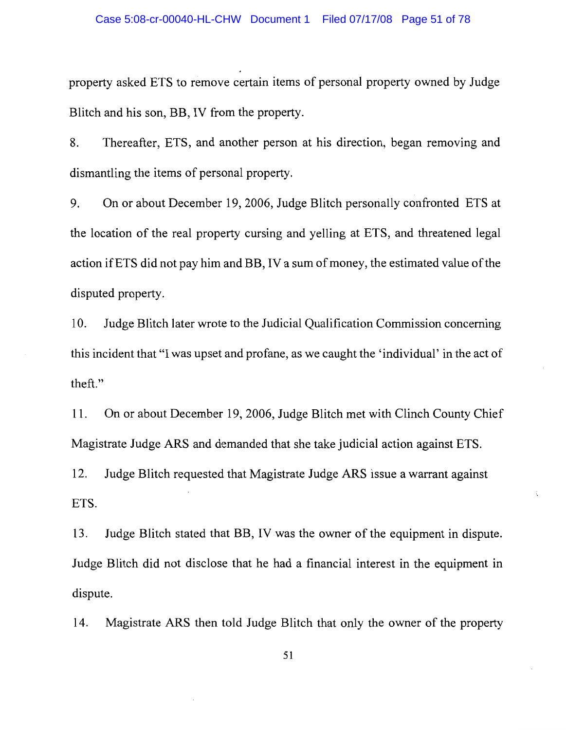property asked ETS to remove certain items of personal property owned by Judge Blitch and his son, BB, IV from the property.

8. Thereafter, ETS, and another person at his direction, began removing and dismantling the items of personal property.

9. On or about December 19, 2006, Judge Blitch personally confronted ETS at the location of the real property cursing and yelling at ETS, and threatened legal action if ETS did not pay him and BB, IV a sum of money, the estimated value of the disputed property.

Judge Blitch later wrote to the Judicial Qualification Commission concerning 10. this incident that "I was upset and profane, as we caught the 'individual' in the act of theft."

On or about December 19, 2006, Judge Blitch met with Clinch County Chief 11. Magistrate Judge ARS and demanded that she take judicial action against ETS.

 $12.$ Judge Blitch requested that Magistrate Judge ARS issue a warrant against ETS.

13. Judge Blitch stated that BB, IV was the owner of the equipment in dispute. Judge Blitch did not disclose that he had a financial interest in the equipment in dispute.

Magistrate ARS then told Judge Blitch that only the owner of the property 14.

51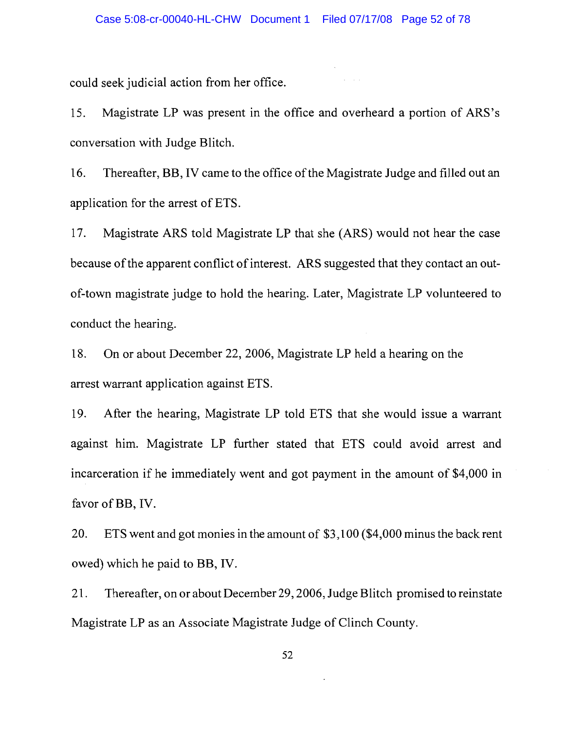could seek judicial action from her office.

Magistrate LP was present in the office and overheard a portion of ARS's 15. conversation with Judge Blitch.

Thereafter, BB, IV came to the office of the Magistrate Judge and filled out an 16. application for the arrest of ETS.

Magistrate ARS told Magistrate LP that she (ARS) would not hear the case 17. because of the apparent conflict of interest. ARS suggested that they contact an outof-town magistrate judge to hold the hearing. Later, Magistrate LP volunteered to conduct the hearing.

18. On or about December 22, 2006, Magistrate LP held a hearing on the arrest warrant application against ETS.

19. After the hearing, Magistrate LP told ETS that she would issue a warrant against him. Magistrate LP further stated that ETS could avoid arrest and incarceration if he immediately went and got payment in the amount of \$4,000 in favor of BB, IV.

20. ETS went and got monies in the amount of \$3,100 (\$4,000 minus the back rent owed) which he paid to BB, IV.

21. Thereafter, on or about December 29, 2006, Judge Blitch promised to reinstate Magistrate LP as an Associate Magistrate Judge of Clinch County.

52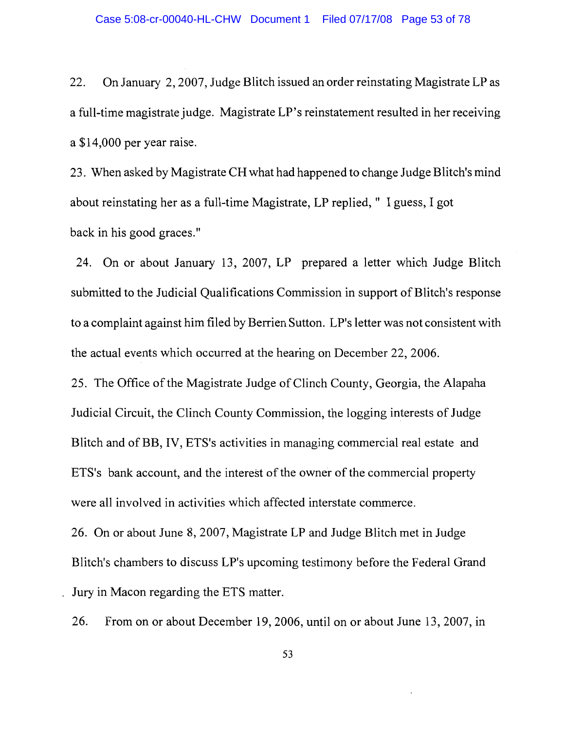22. On January 2, 2007, Judge Blitch issued an order reinstating Magistrate LP as a full-time magistrate judge. Magistrate LP's reinstatement resulted in her receiving a \$14,000 per year raise.

23. When asked by Magistrate CH what had happened to change Judge Blitch's mind about reinstating her as a full-time Magistrate, LP replied, " I guess, I got back in his good graces."

24. On or about January 13, 2007, LP prepared a letter which Judge Blitch submitted to the Judicial Qualifications Commission in support of Blitch's response to a complaint against him filed by Berrien Sutton. LP's letter was not consistent with the actual events which occurred at the hearing on December 22, 2006.

25. The Office of the Magistrate Judge of Clinch County, Georgia, the Alapaha Judicial Circuit, the Clinch County Commission, the logging interests of Judge Blitch and of BB, IV, ETS's activities in managing commercial real estate and ETS's bank account, and the interest of the owner of the commercial property were all involved in activities which affected interstate commerce.

26. On or about June 8, 2007, Magistrate LP and Judge Blitch met in Judge Blitch's chambers to discuss LP's upcoming testimony before the Federal Grand Jury in Macon regarding the ETS matter.

26. From on or about December 19, 2006, until on or about June 13, 2007, in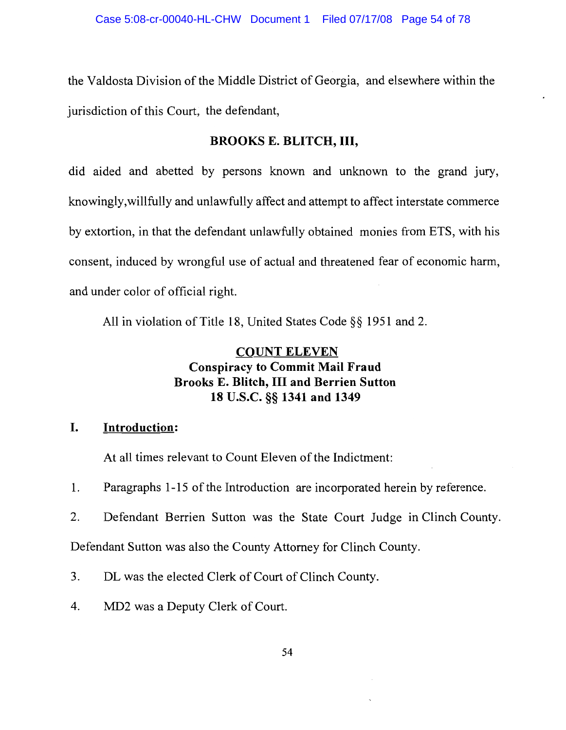the Valdosta Division of the Middle District of Georgia, and elsewhere within the jurisdiction of this Court, the defendant,

#### **BROOKS E. BLITCH, III,**

did aided and abetted by persons known and unknown to the grand jury, knowingly, willfully and unlawfully affect and attempt to affect interstate commerce by extortion, in that the defendant unlawfully obtained monies from ETS, with his consent, induced by wrongful use of actual and threatened fear of economic harm, and under color of official right.

All in violation of Title 18, United States Code §§ 1951 and 2.

## **COUNT ELEVEN Conspiracy to Commit Mail Fraud Brooks E. Blitch, III and Berrien Sutton** 18 U.S.C. §§ 1341 and 1349

#### L. **Introduction:**

At all times relevant to Count Eleven of the Indictment:

1. Paragraphs 1-15 of the Introduction are incorporated herein by reference.

2. Defendant Berrien Sutton was the State Court Judge in Clinch County.

Defendant Sutton was also the County Attorney for Clinch County.

3. DL was the elected Clerk of Court of Clinch County.

4. MD2 was a Deputy Clerk of Court.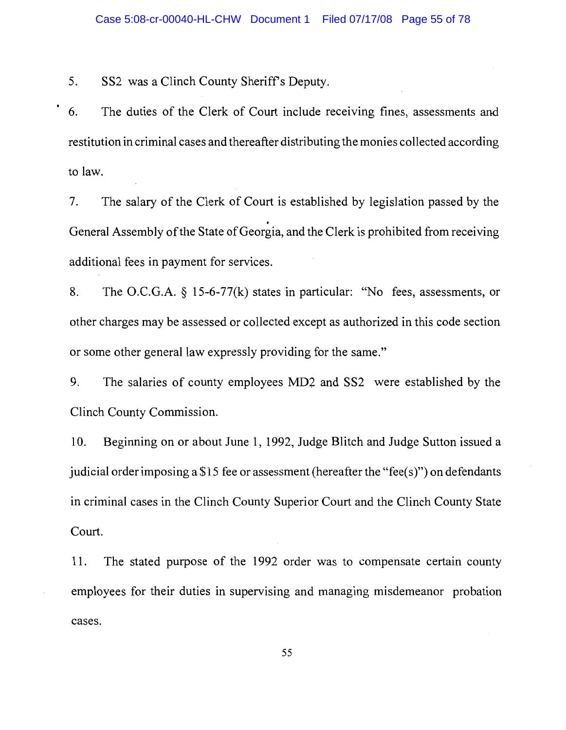5. SS2 was a Clinch County Sheriff's Deputy.

 $\bullet$ 

The duties of the Clerk of Court include receiving fines, assessments and 6. restitution in criminal cases and thereafter distributing the monies collected according to law.

The salary of the Clerk of Court is established by legislation passed by the  $7.$ General Assembly of the State of Georgia, and the Clerk is prohibited from receiving additional fees in payment for services.

The O.C.G.A. § 15-6-77(k) states in particular: "No fees, assessments, or 8. other charges may be assessed or collected except as authorized in this code section or some other general law expressly providing for the same."

The salaries of county employees MD2 and SS2 were established by the 9. Clinch County Commission.

Beginning on or about June 1, 1992, Judge Blitch and Judge Sutton issued a 10. judicial order imposing a \$15 fee or assessment (hereafter the "fee(s)") on defendants in criminal cases in the Clinch County Superior Court and the Clinch County State Court.

The stated purpose of the 1992 order was to compensate certain county 11. employees for their duties in supervising and managing misdemeanor probation cases.

55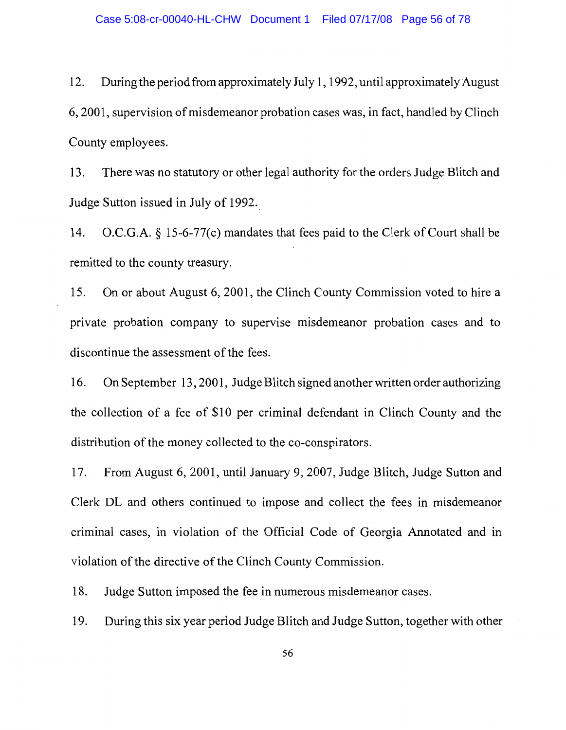During the period from approximately July 1, 1992, until approximately August 12. 6, 2001, supervision of misdemeanor probation cases was, in fact, handled by Clinch County employees.

There was no statutory or other legal authority for the orders Judge Blitch and 13. Judge Sutton issued in July of 1992.

 $O.C.G.A. § 15-6-77(c)$  mandates that fees paid to the Clerk of Court shall be 14. remitted to the county treasury.

On or about August 6, 2001, the Clinch County Commission voted to hire a 15. private probation company to supervise misdemeanor probation cases and to discontinue the assessment of the fees.

On September 13, 2001, Judge Blitch signed another written order authorizing 16. the collection of a fee of \$10 per criminal defendant in Clinch County and the distribution of the money collected to the co-conspirators.

From August 6, 2001, until January 9, 2007, Judge Blitch, Judge Sutton and  $17.$ Clerk DL and others continued to impose and collect the fees in misdemeanor criminal cases, in violation of the Official Code of Georgia Annotated and in violation of the directive of the Clinch County Commission.

18. Judge Sutton imposed the fee in numerous misdemeanor cases.

19. During this six year period Judge Blitch and Judge Sutton, together with other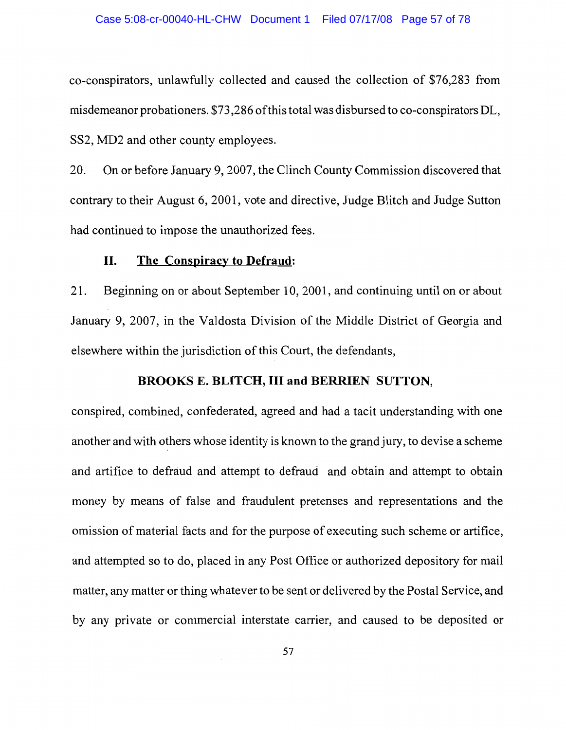co-conspirators, unlawfully collected and caused the collection of \$76,283 from misdemeanor probationers. \$73,286 of this total was disbursed to co-conspirators DL, SS2, MD2 and other county employees.

On or before January 9, 2007, the Clinch County Commission discovered that 20. contrary to their August 6, 2001, vote and directive, Judge Blitch and Judge Sutton had continued to impose the unauthorized fees.

#### II. The Conspiracy to Defraud:

 $21.$ Beginning on or about September 10, 2001, and continuing until on or about January 9, 2007, in the Valdosta Division of the Middle District of Georgia and elsewhere within the jurisdiction of this Court, the defendants,

#### **BROOKS E. BLITCH, III and BERRIEN SUTTON,**

conspired, combined, confederated, agreed and had a tacit understanding with one another and with others whose identity is known to the grand jury, to devise a scheme and artifice to defraud and attempt to defraud and obtain and attempt to obtain money by means of false and fraudulent pretenses and representations and the omission of material facts and for the purpose of executing such scheme or artifice, and attempted so to do, placed in any Post Office or authorized depository for mail matter, any matter or thing whatever to be sent or delivered by the Postal Service, and by any private or commercial interstate carrier, and caused to be deposited or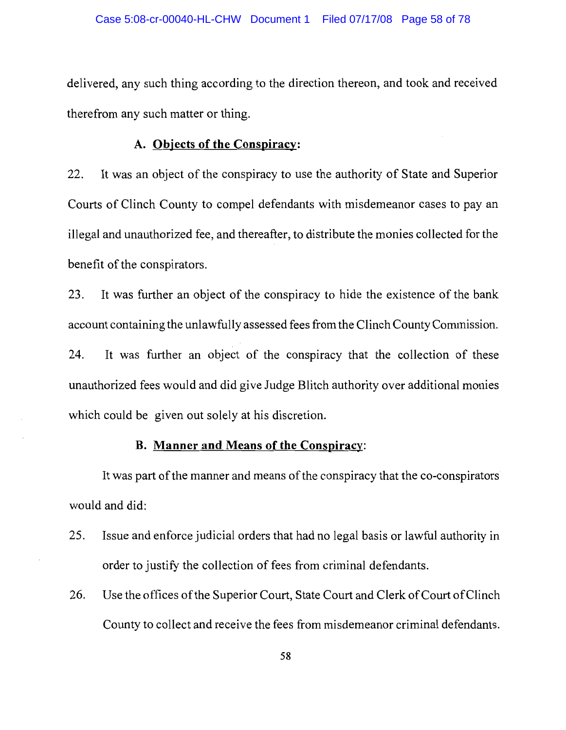delivered, any such thing according to the direction thereon, and took and received therefrom any such matter or thing.

#### A. Objects of the Conspiracy:

It was an object of the conspiracy to use the authority of State and Superior 22. Courts of Clinch County to compel defendants with misdemeanor cases to pay an illegal and unauthorized fee, and thereafter, to distribute the monies collected for the benefit of the conspirators.

It was further an object of the conspiracy to hide the existence of the bank 23. account containing the unlawfully assessed fees from the Clinch County Commission.

It was further an object of the conspiracy that the collection of these 24. unauthorized fees would and did give Judge Blitch authority over additional monies which could be given out solely at his discretion.

#### B. Manner and Means of the Conspiracy:

It was part of the manner and means of the conspiracy that the co-conspirators would and did:

- 25. Issue and enforce judicial orders that had no legal basis or lawful authority in order to justify the collection of fees from criminal defendants.
- Use the offices of the Superior Court, State Court and Clerk of Court of Clinch 26. County to collect and receive the fees from misdemeanor criminal defendants.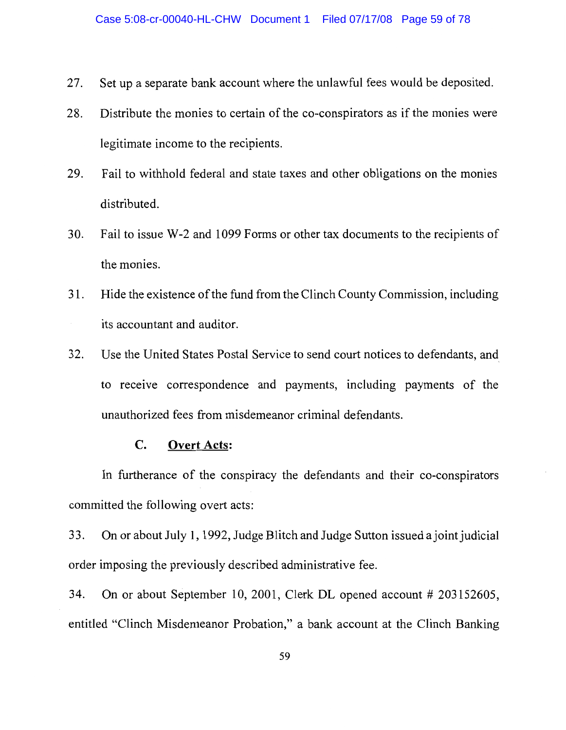- Set up a separate bank account where the unlawful fees would be deposited. 27.
- Distribute the monies to certain of the co-conspirators as if the monies were 28. legitimate income to the recipients.
- Fail to withhold federal and state taxes and other obligations on the monies 29. distributed.
- Fail to issue W-2 and 1099 Forms or other tax documents to the recipients of 30. the monies.
- Hide the existence of the fund from the Clinch County Commission, including 31. its accountant and auditor.
- 32. Use the United States Postal Service to send court notices to defendants, and to receive correspondence and payments, including payments of the unauthorized fees from misdemeanor criminal defendants.

#### **Overt Acts:**  $\mathbf{C}$ .

In furtherance of the conspiracy the defendants and their co-conspirators committed the following overt acts:

33. On or about July 1, 1992, Judge Blitch and Judge Sutton issued a joint judicial order imposing the previously described administrative fee.

34. On or about September 10, 2001, Clerk DL opened account # 203152605, entitled "Clinch Misdemeanor Probation," a bank account at the Clinch Banking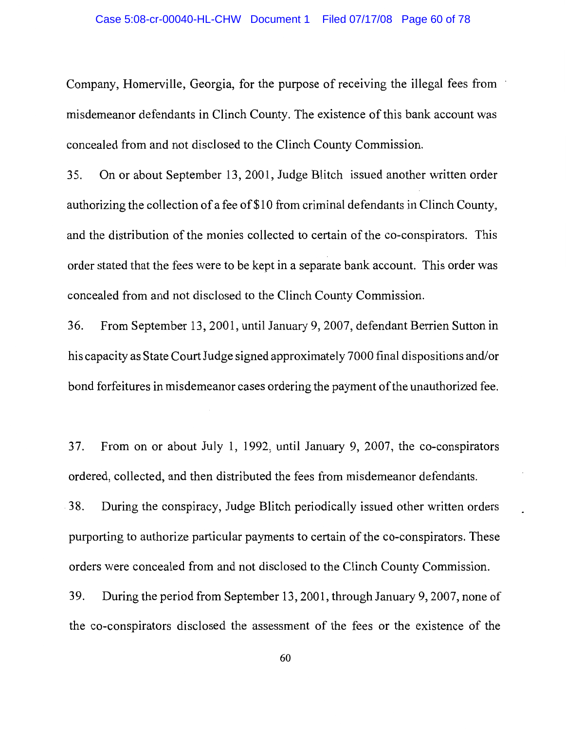Company, Homerville, Georgia, for the purpose of receiving the illegal fees from misdemeanor defendants in Clinch County. The existence of this bank account was concealed from and not disclosed to the Clinch County Commission.

35. On or about September 13, 2001, Judge Blitch issued another written order authorizing the collection of a fee of \$10 from criminal defendants in Clinch County, and the distribution of the monies collected to certain of the co-conspirators. This order stated that the fees were to be kept in a separate bank account. This order was concealed from and not disclosed to the Clinch County Commission.

36. From September 13, 2001, until January 9, 2007, defendant Berrien Sutton in his capacity as State Court Judge signed approximately 7000 final dispositions and/or bond forfeitures in misdemeanor cases ordering the payment of the unauthorized fee.

From on or about July 1, 1992, until January 9, 2007, the co-conspirators 37. ordered, collected, and then distributed the fees from misdemeanor defendants.

During the conspiracy, Judge Blitch periodically issued other written orders 38. purporting to authorize particular payments to certain of the co-conspirators. These orders were concealed from and not disclosed to the Clinch County Commission.

39. During the period from September 13, 2001, through January 9, 2007, none of the co-conspirators disclosed the assessment of the fees or the existence of the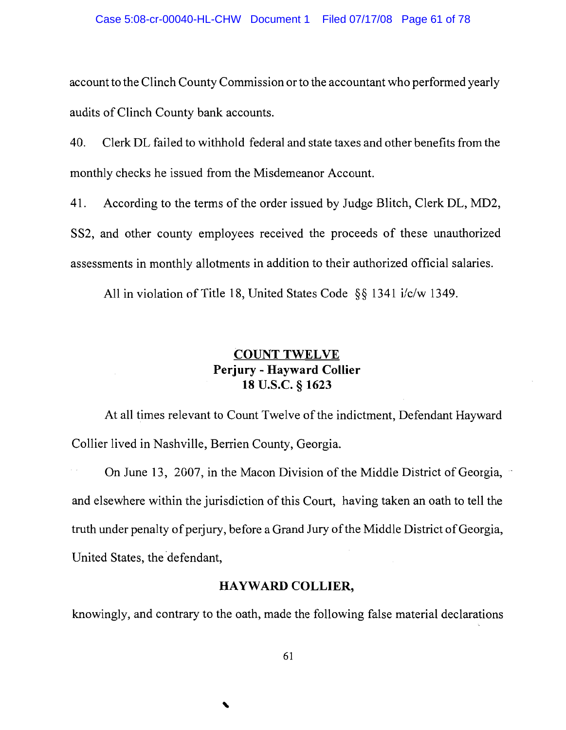account to the Clinch County Commission or to the accountant who performed yearly audits of Clinch County bank accounts.

40. Clerk DL failed to withhold federal and state taxes and other benefits from the monthly checks he issued from the Misdemeanor Account.

According to the terms of the order issued by Judge Blitch, Clerk DL, MD2, 41.

SS2, and other county employees received the proceeds of these unauthorized assessments in monthly allotments in addition to their authorized official salaries.

All in violation of Title 18, United States Code  $\S$ § 1341 i/c/w 1349.

#### **COUNT TWELVE** Perjury - Hayward Collier 18 U.S.C. § 1623

At all times relevant to Count Twelve of the indictment, Defendant Hayward Collier lived in Nashville, Berrien County, Georgia.

On June 13, 2007, in the Macon Division of the Middle District of Georgia, and elsewhere within the jurisdiction of this Court, having taken an oath to tell the truth under penalty of perjury, before a Grand Jury of the Middle District of Georgia, United States, the defendant,

#### **HAYWARD COLLIER,**

knowingly, and contrary to the oath, made the following false material declarations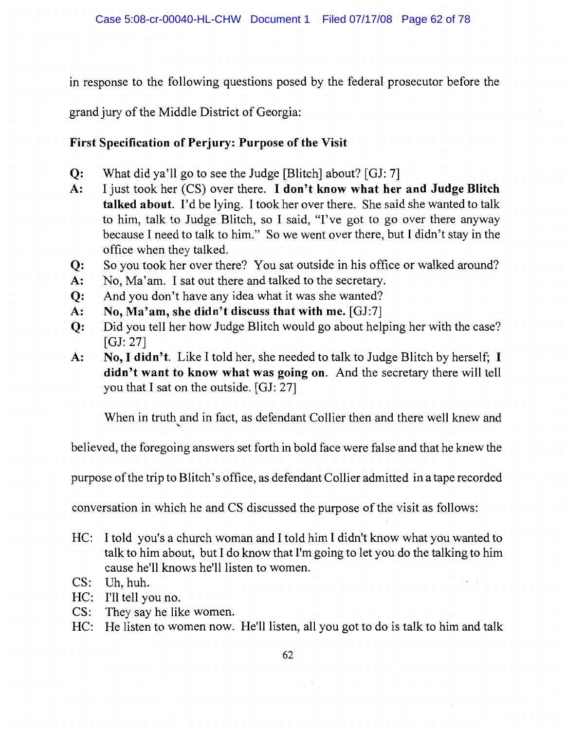in response to the following questions posed by the federal prosecutor before the

grand jury of the Middle District of Georgia:

### **First Specification of Perjury: Purpose of the Visit**

- $Q:$ What did ya'll go to see the Judge [Blitch] about? [GJ: 7]
- $A$ : I just took her (CS) over there. I don't know what her and Judge Blitch talked about. I'd be lying. I took her over there. She said she wanted to talk to him, talk to Judge Blitch, so I said, "I've got to go over there anyway because I need to talk to him." So we went over there, but I didn't stay in the office when they talked.
- So you took her over there? You sat outside in his office or walked around?  $Q:$
- $A$ : No, Ma'am. I sat out there and talked to the secretary.
- $Q:$ And you don't have any idea what it was she wanted?
- No, Ma'am, she didn't discuss that with me. [GJ:7]  $A$ :
- $Q<sub>i</sub>$ Did you tell her how Judge Blitch would go about helping her with the case?  $[GJ: 27]$
- No, I didn't. Like I told her, she needed to talk to Judge Blitch by herself; I A: didn't want to know what was going on. And the secretary there will tell you that I sat on the outside. [GJ: 27]

When in truth and in fact, as defendant Collier then and there well knew and

believed, the foregoing answers set forth in bold face were false and that he knew the

purpose of the trip to Blitch's office, as defendant Collier admitted in a tape recorded

conversation in which he and CS discussed the purpose of the visit as follows:

- $HC:$ I told you's a church woman and I told him I didn't know what you wanted to talk to him about, but I do know that I'm going to let you do the talking to him cause he'll knows he'll listen to women.
- $CS:$ Uh, huh.
- $HC:$ I'll tell you no.
- $CS:$ They say he like women.
- $HC:$ He listen to women now. He'll listen, all you got to do is talk to him and talk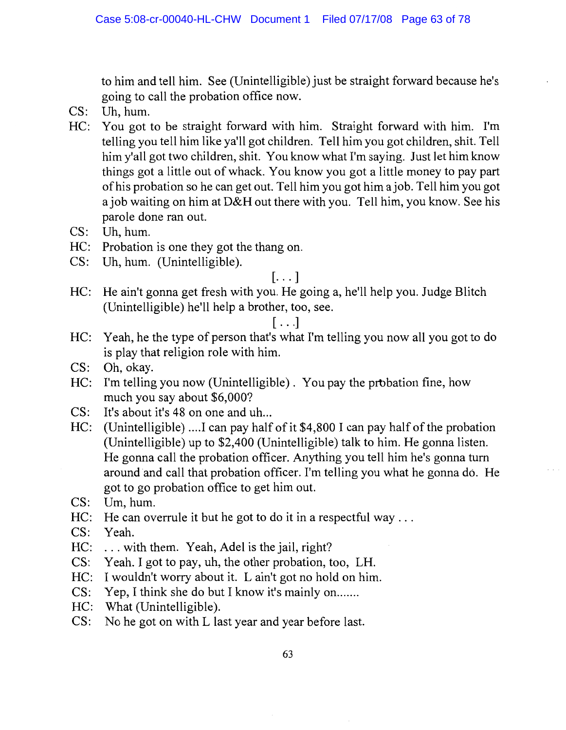to him and tell him. See (Unintelligible) just be straight forward because he's going to call the probation office now.

- $CS:$ Uh. hum.
- HC: You got to be straight forward with him. Straight forward with him. I'm telling you tell him like ya'll got children. Tell him you got children, shit. Tell him y'all got two children, shit. You know what I'm saying. Just let him know things got a little out of whack. You know you got a little money to pay part of his probation so he can get out. Tell him you got him a job. Tell him you got a job waiting on him at D&H out there with you. Tell him, you know. See his parole done ran out.
- CS: Uh, hum.
- HC: Probation is one they got the thang on.
- CS: Uh, hum. (Unintelligible).

#### $\left[\ldots\right]$

HC: He ain't gonna get fresh with you. He going a, he'll help you. Judge Blitch (Unintelligible) he'll help a brother, too, see.

#### $[\ldots]$

- HC: Yeah, he the type of person that's what I'm telling you now all you got to do is play that religion role with him.
- CS: Oh, okay.
- HC: I'm telling you now (Unintelligible). You pay the probation fine, how much you say about \$6,000?
- It's about it's 48 on one and uh...  $CS:$
- HC: (Unintelligible) .... I can pay half of it \$4,800 I can pay half of the probation (Unintelligible) up to \$2,400 (Unintelligible) talk to him. He gonna listen. He gonna call the probation officer. Anything you tell him he's gonna turn around and call that probation officer. I'm telling you what he gonna do. He got to go probation office to get him out.
- $CS:$ Um, hum.
- HC: He can overrule it but he got to do it in a respectful way ...
- CS: Yeah.
- HC: ... with them. Yeah, Adel is the jail, right?
- $CS:$ Yeah. I got to pay, uh, the other probation, too, LH.
- HC: I wouldn't worry about it. L ain't got no hold on him.
- Yep, I think she do but I know it's mainly on.......  $CS:$
- HC: What (Unintelligible).
- CS: No he got on with L last year and year before last.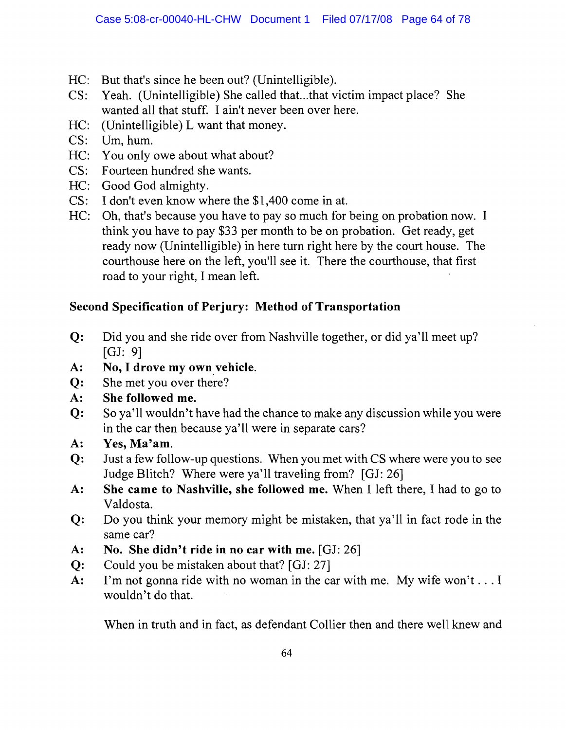- HC: But that's since he been out? (Unintelligible).
- $CS:$ Yeah. (Unintelligible) She called that...that victim impact place? She wanted all that stuff. I ain't never been over here.
- HC: (Unintelligible) L want that money.
- $CS:$ Um, hum.
- HC: You only owe about what about?
- CS: Fourteen hundred she wants.
- HC: Good God almighty.
- CS: I don't even know where the \$1,400 come in at.
- HC: Oh, that's because you have to pay so much for being on probation now. I think you have to pay \$33 per month to be on probation. Get ready, get ready now (Unintelligible) in here turn right here by the court house. The courthouse here on the left, you'll see it. There the courthouse, that first road to your right, I mean left.

# Second Specification of Perjury: Method of Transportation

- Did you and she ride over from Nashville together, or did ya'll meet up?  $Q:$  $[GJ: 9]$
- $\mathbf{A}$ : No, I drove my own vehicle.
- She met you over there?  $Q$ :
- $A$ : She followed me.
- $Q$ : So ya'll wouldn't have had the chance to make any discussion while you were in the car then because ya'll were in separate cars?
- $A$ : Yes, Ma'am.
- $Q<sub>i</sub>$ Just a few follow-up questions. When you met with CS where were you to see Judge Blitch? Where were ya'll traveling from? [GJ: 26]
- She came to Nashville, she followed me. When I left there, I had to go to  $A$ : Valdosta.
- $Q:$ Do you think your memory might be mistaken, that ya'll in fact rode in the same car?
- $A$ : No. She didn't ride in no car with me. [GJ: 26]
- Could you be mistaken about that? [GJ: 27]  $Q:$
- I'm not gonna ride with no woman in the car with me. My wife won't . . . I  $A$ : wouldn't do that.

When in truth and in fact, as defendant Collier then and there well knew and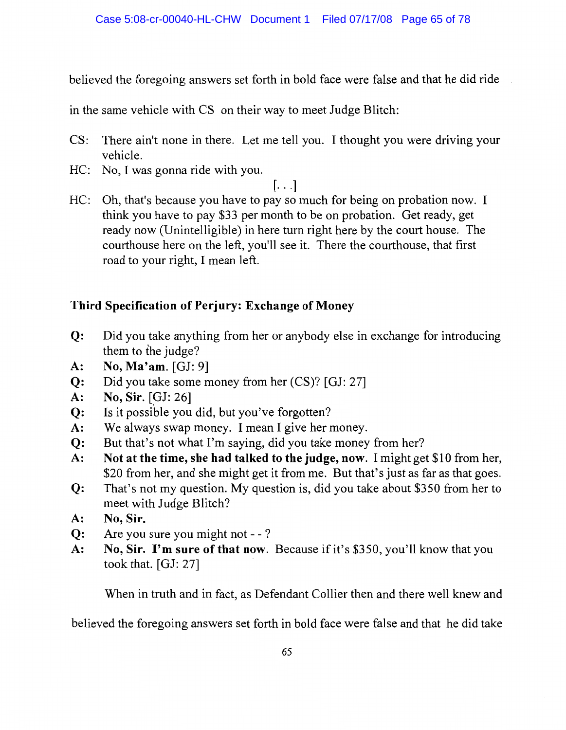believed the foregoing answers set forth in bold face were false and that he did ride

in the same vehicle with CS on their way to meet Judge Blitch:

- $CS:$ There ain't none in there. Let me tell you. I thought you were driving your vehicle.
- HC: No, I was gonna ride with you.

 $[\ldots]$ 

HC: Oh, that's because you have to pay so much for being on probation now. I think you have to pay \$33 per month to be on probation. Get ready, get ready now (Unintelligible) in here turn right here by the court house. The courthouse here on the left, you'll see it. There the courthouse, that first road to your right, I mean left.

## Third Specification of Perjury: Exchange of Money

- Did you take anything from her or anybody else in exchange for introducing  $Q:$ them to the judge?
- No, Ma'am. [GJ: 9] A:
- Did you take some money from her (CS)? [GJ: 27]  $Q$ :
- No, Sir. [GJ: 26]  $A$ :
- Is it possible you did, but you've forgotten?  $Q$ :
- $A$ : We always swap money. I mean I give her money.
- But that's not what I'm saying, did you take money from her?  $Q:$
- $A$ : Not at the time, she had talked to the judge, now. I might get \$10 from her, \$20 from her, and she might get it from me. But that's just as far as that goes.
- That's not my question. My question is, did you take about \$350 from her to  $Q:$ meet with Judge Blitch?
- No, Sir.  $A$ :
- Are you sure you might not -?  $Q:$
- $A$ : No, Sir. I'm sure of that now. Because if it's \$350, you'll know that you took that. [GJ: 27]

When in truth and in fact, as Defendant Collier then and there well knew and

believed the foregoing answers set forth in bold face were false and that he did take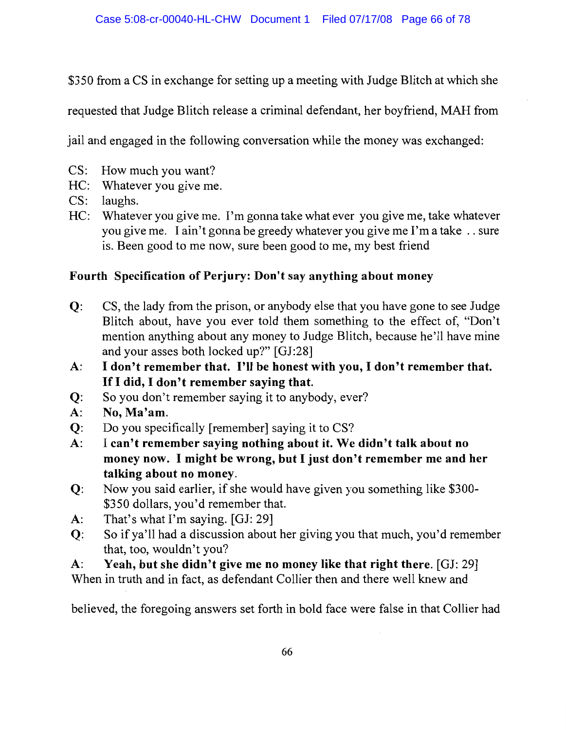\$350 from a CS in exchange for setting up a meeting with Judge Blitch at which she

requested that Judge Blitch release a criminal defendant, her boyfriend, MAH from

jail and engaged in the following conversation while the money was exchanged:

- CS: How much you want?
- HC: Whatever you give me.
- CS: laughs.
- HC: Whatever you give me. I'm gonna take what ever you give me, take whatever vou give me. I ain't gonna be greedy whatever you give me I'm a take . . sure is. Been good to me now, sure been good to me, my best friend

### Fourth Specification of Perjury: Don't say anything about money

- $Q$ : CS, the lady from the prison, or anybody else that you have gone to see Judge Blitch about, have you ever told them something to the effect of, "Don't mention anything about any money to Judge Blitch, because he'll have mine and your asses both locked up?" [GJ:28]
- I don't remember that. I'll be honest with you, I don't remember that.  $A$ : If I did, I don't remember saying that.
- So you don't remember saying it to anybody, ever?  $Q$ :
- No, Ma'am.  $A$ :
- $Q$ : Do you specifically [remember] saying it to CS?
- I can't remember saying nothing about it. We didn't talk about no  $A$ : money now. I might be wrong, but I just don't remember me and her talking about no money.
- Now you said earlier, if she would have given you something like \$300- $Q$ : \$350 dollars, you'd remember that.
- That's what I'm saying. [GJ: 29]  $A$ :
- So if ya'll had a discussion about her giving you that much, you'd remember  $Q:$ that, too, wouldn't you?

Yeah, but she didn't give me no money like that right there. [GJ: 29]  $\mathbf{A}$ :

When in truth and in fact, as defendant Collier then and there well knew and

believed, the foregoing answers set forth in bold face were false in that Collier had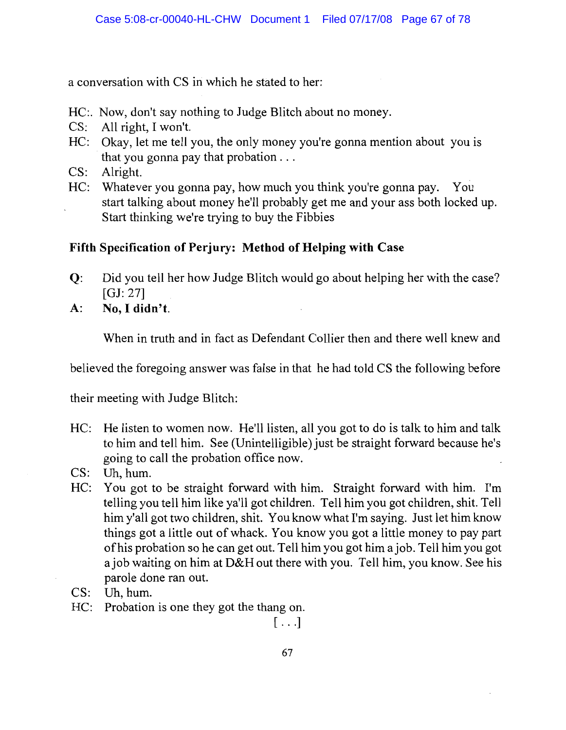a conversation with CS in which he stated to her:

- HC:. Now, don't say nothing to Judge Blitch about no money.
- CS: All right, I won't.
- HC: Okay, let me tell you, the only money you're gonna mention about you is that you gonna pay that probation  $\ldots$
- $CS:$ Alright.
- HC: Whatever you gonna pay, how much you think you're gonna pay. You start talking about money he'll probably get me and your ass both locked up. Start thinking we're trying to buy the Fibbies

# Fifth Specification of Perjury: Method of Helping with Case

- Did you tell her how Judge Blitch would go about helping her with the case?  $Q$ : [GJ:  $27$ ]
- No, I didn't.  $A$ :

When in truth and in fact as Defendant Collier then and there well knew and

believed the foregoing answer was false in that he had told CS the following before

their meeting with Judge Blitch:

- HC: He listen to women now. He'll listen, all you got to do is talk to him and talk to him and tell him. See (Unintelligible) just be straight forward because he's going to call the probation office now.
- CS: Uh. hum.
- HC: You got to be straight forward with him. Straight forward with him. I'm telling you tell him like ya'll got children. Tell him you got children, shit. Tell him y'all got two children, shit. You know what I'm saying. Just let him know things got a little out of whack. You know you got a little money to pay part of his probation so he can get out. Tell him you got him a job. Tell him you got a job waiting on him at D&H out there with you. Tell him, you know. See his parole done ran out.
- CS: Uh, hum.
- HC: Probation is one they got the thang on.

 $[\ldots]$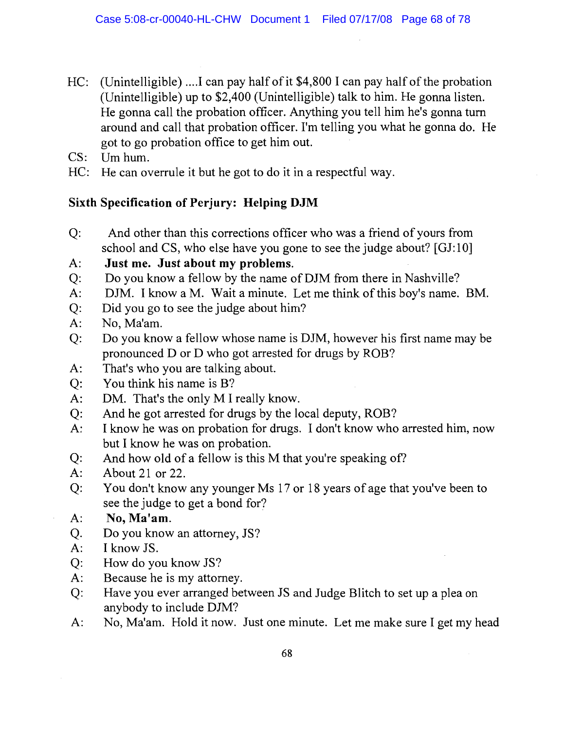- HC: (Unintelligible) .... I can pay half of it  $$4,800$  I can pay half of the probation (Unintelligible) up to \$2,400 (Unintelligible) talk to him. He gonna listen. He gonna call the probation officer. Anything you tell him he's gonna turn around and call that probation officer. I'm telling you what he gonna do. He got to go probation office to get him out.
- Um hum.  $CS:$
- HC: He can overrule it but he got to do it in a respectful way.

# **Sixth Specification of Perjury: Helping DJM**

- $Q:$ And other than this corrections officer who was a friend of yours from school and CS, who else have you gone to see the judge about? [GJ:10]
- Just me. Just about my problems.  $A$ :
- Do you know a fellow by the name of DJM from there in Nashville?  $Q:$
- DJM. I know a M. Wait a minute. Let me think of this boy's name. BM.  $A$ :
- $Q:$ Did you go to see the judge about him?
- No, Ma'am.  $A$ :
- $Q:$ Do you know a fellow whose name is DJM, however his first name may be pronounced D or D who got arrested for drugs by ROB?
- That's who you are talking about.  $A$ :
- You think his name is B?  $Q:$
- DM. That's the only M I really know.  $A$ :
- And he got arrested for drugs by the local deputy, ROB?  $Q:$
- I know he was on probation for drugs. I don't know who arrested him, now  $A$ : but I know he was on probation.
- And how old of a fellow is this M that you're speaking of?  $Q:$
- About 21 or 22.  $A$ :
- You don't know any younger Ms 17 or 18 years of age that you've been to  $O:$ see the judge to get a bond for?
- No, Ma'am.  $A$ :
- Do you know an attorney, JS? Q.
- I know JS.  $A$ :
- $Q:$ How do you know JS?
- $A$ : Because he is my attorney.
- Have you ever arranged between JS and Judge Blitch to set up a plea on  $Q:$ anybody to include DJM?
- No, Ma'am. Hold it now. Just one minute. Let me make sure I get my head  $A$ :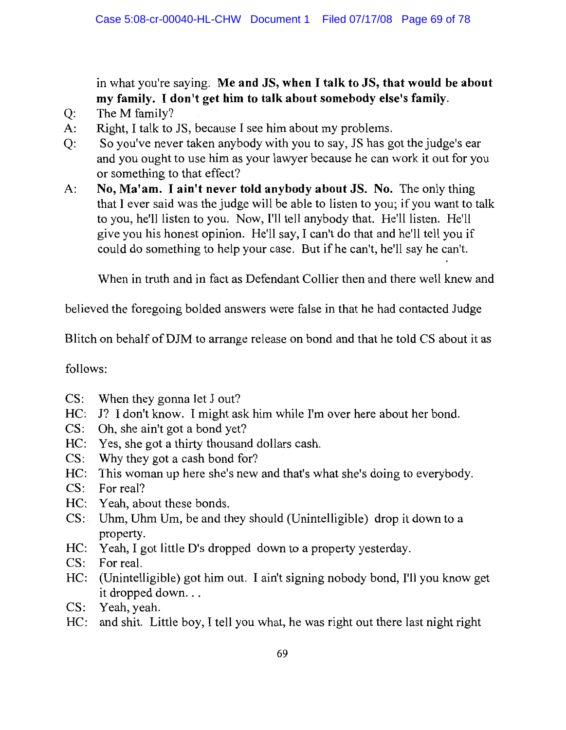in what you're saying. Me and JS, when I talk to JS, that would be about my family. I don't get him to talk about somebody else's family.

- The M family?  $Q$ :
- Right, I talk to JS, because I see him about my problems.  $A$ :
- So you've never taken anybody with you to say, JS has got the judge's ear  $O:$ and you ought to use him as your lawyer because he can work it out for you or something to that effect?
- $A$ : No, Ma'am. I ain't never told anybody about JS. No. The only thing that I ever said was the judge will be able to listen to you; if you want to talk to you, he'll listen to you. Now, I'll tell anybody that. He'll listen. He'll give you his honest opinion. He'll say, I can't do that and he'll tell you if could do something to help your case. But if he can't, he'll say he can't.

When in truth and in fact as Defendant Collier then and there well knew and

believed the foregoing bolded answers were false in that he had contacted Judge

Blitch on behalf of DJM to arrange release on bond and that he told CS about it as

follows:

- When they gonna let J out?  $CS:$
- HC: J? I don't know. I might ask him while I'm over here about her bond.
- $CS:$  Oh, she ain't got a bond yet?
- HC: Yes, she got a thirty thousand dollars cash.
- CS: Why they got a cash bond for?
- HC: This woman up here she's new and that's what she's doing to everybody.
- $CS:$  For real?
- HC: Yeah, about these bonds.
- CS: Uhm, Uhm Um, be and they should (Unintelligible) drop it down to a property.
- HC: Yeah, I got little D's dropped down to a property yesterday.
- CS: For real.
- HC: (Unintelligible) got him out. I ain't signing nobody bond, I'll you know get it dropped down...
- CS: Yeah, yeah.
- HC: and shit. Little boy, I tell you what, he was right out there last night right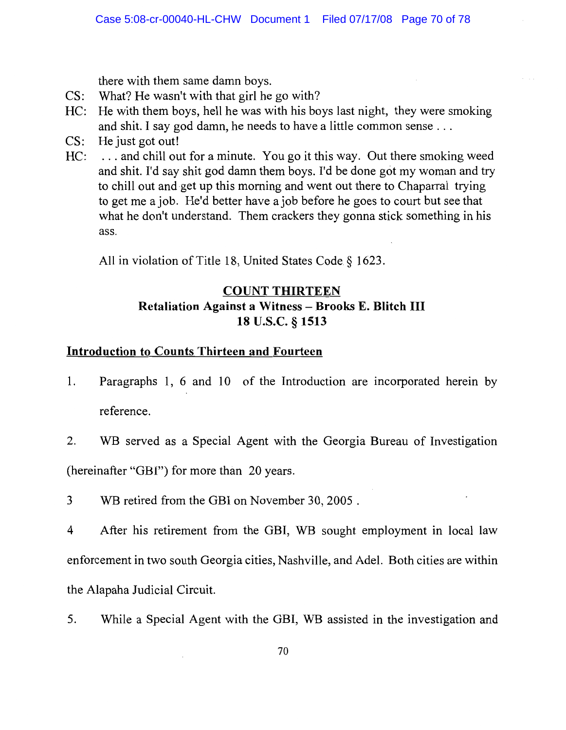there with them same damn boys.

- What? He wasn't with that girl he go with?  $CS:$
- He with them boys, hell he was with his boys last night, they were smoking  $HC:$ and shit. I say god damn, he needs to have a little common sense ...
- $CS:$ He just got out!
- ... and chill out for a minute. You go it this way. Out there smoking weed  $HC:$ and shit. I'd say shit god damn them boys. I'd be done got my woman and try to chill out and get up this morning and went out there to Chaparral trying to get me a job. He'd better have a job before he goes to court but see that what he don't understand. Them crackers they gonna stick something in his ass.

All in violation of Title 18, United States Code § 1623.

# **COUNT THIRTEEN** Retaliation Against a Witness - Brooks E. Blitch III 18 U.S.C. § 1513

### **Introduction to Counts Thirteen and Fourteen**

- 1. Paragraphs 1, 6 and 10 of the Introduction are incorporated herein by reference.
- $2.$ WB served as a Special Agent with the Georgia Bureau of Investigation

(hereinafter "GBI") for more than 20 years.

WB retired from the GBI on November 30, 2005.  $\overline{3}$ 

 $\overline{4}$ After his retirement from the GBI, WB sought employment in local law enforcement in two south Georgia cities, Nashville, and Adel. Both cities are within the Alapaha Judicial Circuit.

5. While a Special Agent with the GBI, WB assisted in the investigation and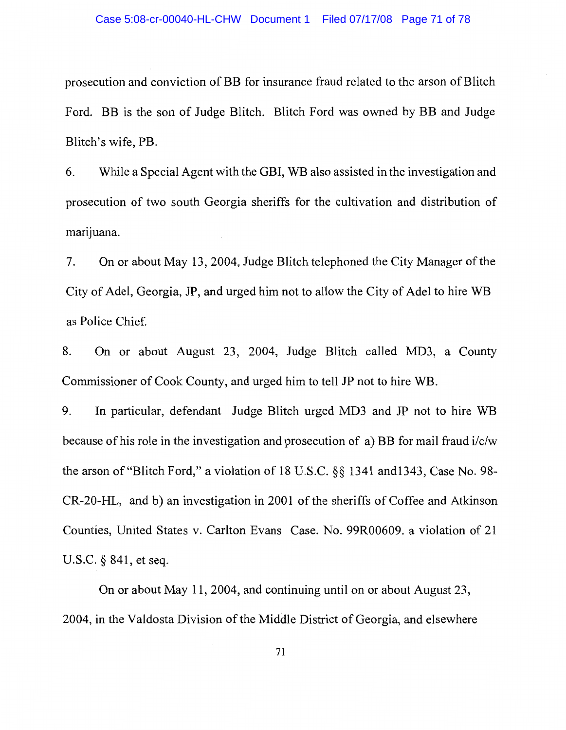prosecution and conviction of BB for insurance fraud related to the arson of Blitch Ford. BB is the son of Judge Blitch. Blitch Ford was owned by BB and Judge Blitch's wife, PB.

While a Special Agent with the GBI, WB also assisted in the investigation and 6. prosecution of two south Georgia sheriffs for the cultivation and distribution of marijuana.

On or about May 13, 2004, Judge Blitch telephoned the City Manager of the 7. City of Adel, Georgia, JP, and urged him not to allow the City of Adel to hire WB as Police Chief.

On or about August 23, 2004, Judge Blitch called MD3, a County 8. Commissioner of Cook County, and urged him to tell JP not to hire WB.

In particular, defendant Judge Blitch urged MD3 and JP not to hire WB 9. because of his role in the investigation and prosecution of a) BB for mail fraud i/c/w the arson of "Blitch Ford," a violation of 18 U.S.C. §§ 1341 and 1343, Case No. 98-CR-20-HL, and b) an investigation in 2001 of the sheriffs of Coffee and Atkinson Counties, United States v. Carlton Evans Case. No. 99R00609. a violation of 21 U.S.C.  $\S$  841, et seq.

On or about May 11, 2004, and continuing until on or about August 23, 2004, in the Valdosta Division of the Middle District of Georgia, and elsewhere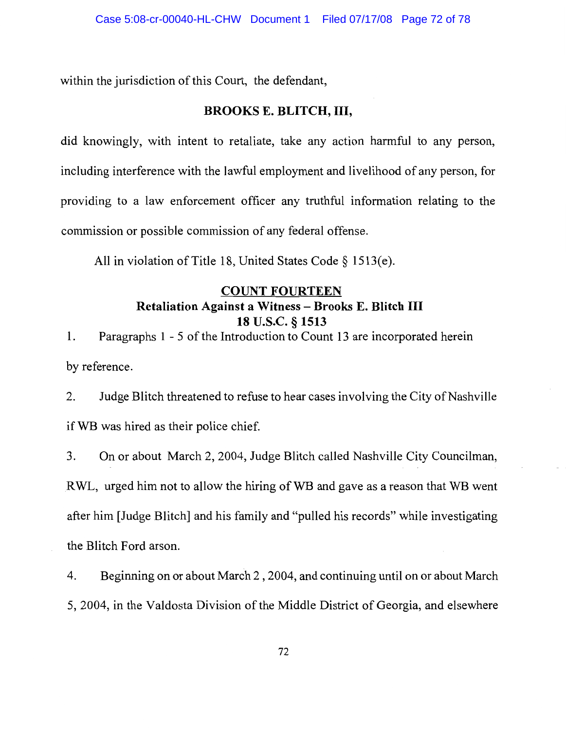within the jurisdiction of this Court, the defendant,

#### **BROOKS E. BLITCH, III,**

did knowingly, with intent to retaliate, take any action harmful to any person, including interference with the lawful employment and livelihood of any person, for providing to a law enforcement officer any truthful information relating to the commission or possible commission of any federal offense.

All in violation of Title 18, United States Code § 1513(e).

### **COUNT FOURTEEN Retaliation Against a Witness - Brooks E. Blitch III** 18 U.S.C. § 1513

Paragraphs 1 - 5 of the Introduction to Count 13 are incorporated herein  $\mathbf{1}$ . by reference.

2. Judge Blitch threatened to refuse to hear cases involving the City of Nashville if WB was hired as their police chief.

3. On or about March 2, 2004, Judge Blitch called Nashville City Councilman, RWL, urged him not to allow the hiring of WB and gave as a reason that WB went after him [Judge Blitch] and his family and "pulled his records" while investigating the Blitch Ford arson.

4. Beginning on or about March 2, 2004, and continuing until on or about March 5, 2004, in the Valdosta Division of the Middle District of Georgia, and elsewhere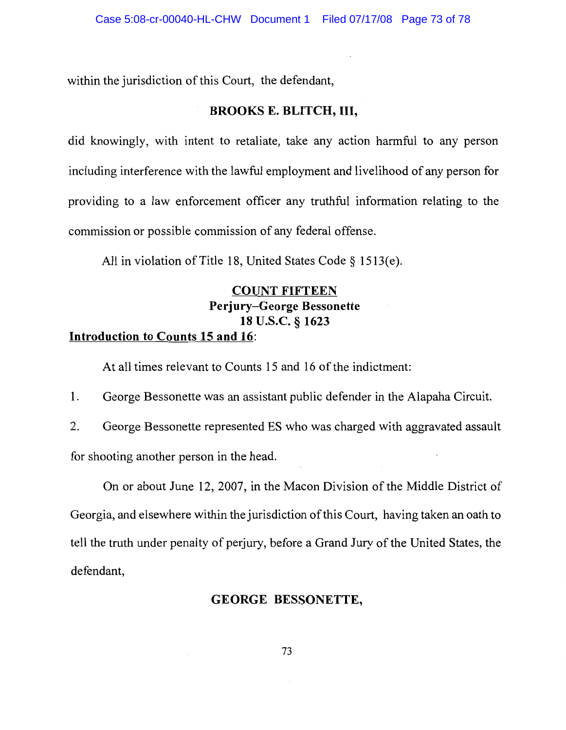within the jurisdiction of this Court, the defendant,

#### **BROOKS E. BLITCH, III,**

did knowingly, with intent to retaliate, take any action harmful to any person including interference with the lawful employment and livelihood of any person for providing to a law enforcement officer any truthful information relating to the commission or possible commission of any federal offense.

All in violation of Title 18, United States Code § 1513(e).

# **COUNT FIFTEEN Perjury–George Bessonette** 18 U.S.C. § 1623

## Introduction to Counts 15 and 16:

At all times relevant to Counts 15 and 16 of the indictment:

1. George Bessonette was an assistant public defender in the Alapaha Circuit.

 $\overline{2}$ . George Bessonette represented ES who was charged with aggravated assault for shooting another person in the head.

On or about June 12, 2007, in the Macon Division of the Middle District of Georgia, and elsewhere within the jurisdiction of this Court, having taken an oath to tell the truth under penalty of perjury, before a Grand Jury of the United States, the defendant,

#### **GEORGE BESSONETTE,**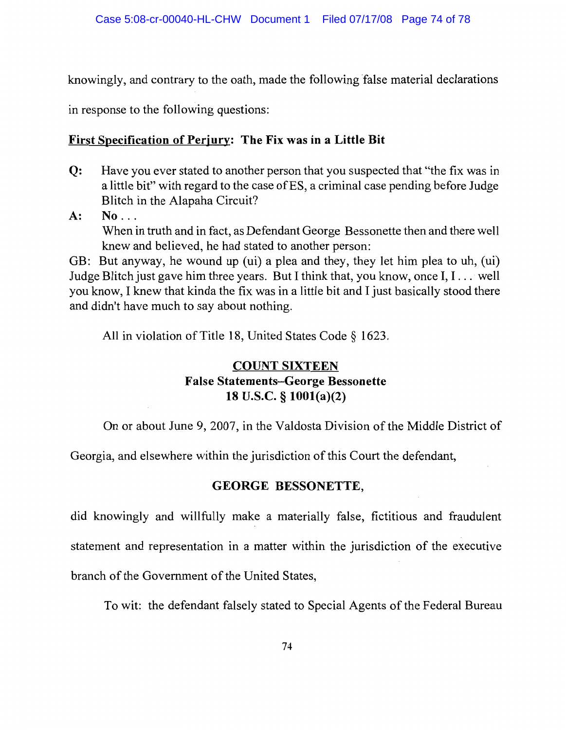knowingly, and contrary to the oath, made the following false material declarations

in response to the following questions:

## **First Specification of Perjury: The Fix was in a Little Bit**

- $Q:$ Have you ever stated to another person that you suspected that "the fix was in a little bit" with regard to the case of ES, a criminal case pending before Judge Blitch in the Alapaha Circuit?
- $A$ :  $No...$ When in truth and in fact, as Defendant George Bessonette then and there well knew and believed, he had stated to another person:

GB: But anyway, he wound up (ui) a plea and they, they let him plea to uh, (ui) Judge Blitch just gave him three years. But I think that, you know, once I, I... well you know, I knew that kinda the fix was in a little bit and I just basically stood there and didn't have much to say about nothing.

All in violation of Title 18, United States Code § 1623.

## **COUNT SIXTEEN False Statements-George Bessonette** 18 U.S.C.  $\S$  1001(a)(2)

On or about June 9, 2007, in the Valdosta Division of the Middle District of

Georgia, and elsewhere within the jurisdiction of this Court the defendant,

# GEORGE BESSONETTE,

did knowingly and willfully make a materially false, fictitious and fraudulent statement and representation in a matter within the jurisdiction of the executive branch of the Government of the United States,

To wit: the defendant falsely stated to Special Agents of the Federal Bureau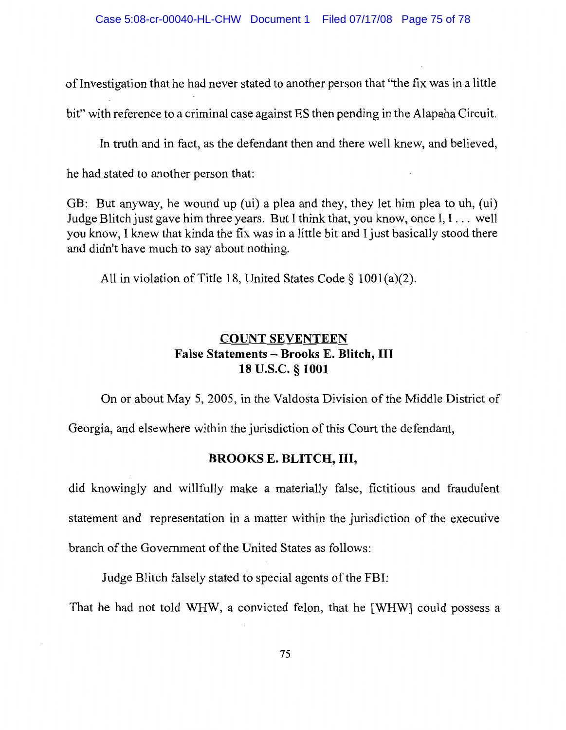of Investigation that he had never stated to another person that "the fix was in a little bit" with reference to a criminal case against ES then pending in the Alapaha Circuit.

In truth and in fact, as the defendant then and there well knew, and believed,

he had stated to another person that:

GB: But anyway, he wound up (ui) a plea and they, they let him plea to uh, (ui) Judge Blitch just gave him three years. But I think that, you know, once I, I... well you know, I knew that kinda the fix was in a little bit and I just basically stood there and didn't have much to say about nothing.

All in violation of Title 18, United States Code  $\S$  1001(a)(2).

## **COUNT SEVENTEEN** False Statements - Brooks E. Blitch, III 18 U.S.C. § 1001

On or about May 5, 2005, in the Valdosta Division of the Middle District of

Georgia, and elsewhere within the jurisdiction of this Court the defendant,

#### **BROOKS E. BLITCH, III,**

did knowingly and willfully make a materially false, fictitious and fraudulent statement and representation in a matter within the jurisdiction of the executive branch of the Government of the United States as follows:

Judge Blitch falsely stated to special agents of the FBI:

That he had not told WHW, a convicted felon, that he [WHW] could possess a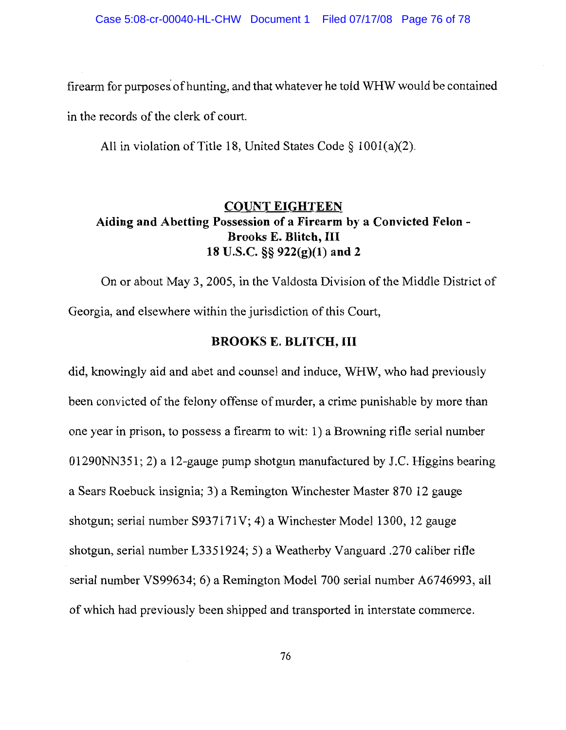firearm for purposes of hunting, and that whatever he told WHW would be contained

in the records of the clerk of court.

All in violation of Title 18, United States Code  $\S$  1001(a)(2).

## **COUNT EIGHTEEN** Aiding and Abetting Possession of a Firearm by a Convicted Felon -**Brooks E. Blitch, III** 18 U.S.C. §§ 922(g)(1) and 2

On or about May 3, 2005, in the Valdosta Division of the Middle District of Georgia, and elsewhere within the jurisdiction of this Court,

#### **BROOKS E. BLITCH, III**

did, knowingly aid and abet and counsel and induce, WHW, who had previously been convicted of the felony offense of murder, a crime punishable by more than one year in prison, to possess a firearm to wit: 1) a Browning rifle serial number 01290NN351; 2) a 12-gauge pump shotgun manufactured by J.C. Higgins bearing a Sears Roebuck insignia; 3) a Remington Winchester Master 870 12 gauge shotgun; serial number S937171V; 4) a Winchester Model 1300, 12 gauge shotgun, serial number L3351924; 5) a Weatherby Vanguard .270 caliber rifle serial number VS99634; 6) a Remington Model 700 serial number A6746993, all of which had previously been shipped and transported in interstate commerce.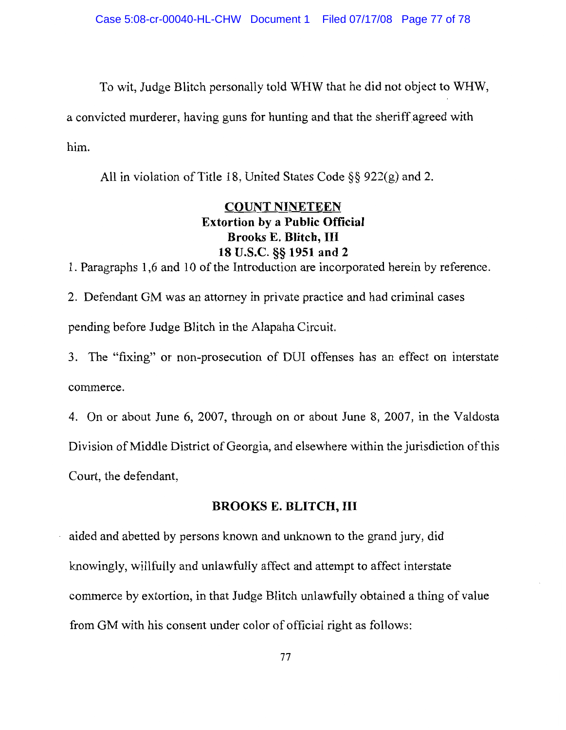To wit, Judge Blitch personally told WHW that he did not object to WHW,

a convicted murderer, having guns for hunting and that the sheriff agreed with him.

All in violation of Title 18, United States Code  $\S$ § 922(g) and 2.

## **COUNT NINETEEN Extortion by a Public Official Brooks E. Blitch, III** 18 U.S.C. §§ 1951 and 2

1. Paragraphs 1,6 and 10 of the Introduction are incorporated herein by reference.

2. Defendant GM was an attorney in private practice and had criminal cases pending before Judge Blitch in the Alapaha Circuit.

3. The "fixing" or non-prosecution of DUI offenses has an effect on interstate commerce.

4. On or about June 6, 2007, through on or about June 8, 2007, in the Valdosta Division of Middle District of Georgia, and elsewhere within the jurisdiction of this Court, the defendant,

#### **BROOKS E. BLITCH, III**

aided and abetted by persons known and unknown to the grand jury, did knowingly, willfully and unlawfully affect and attempt to affect interstate commerce by extortion, in that Judge Blitch unlawfully obtained a thing of value from GM with his consent under color of official right as follows: